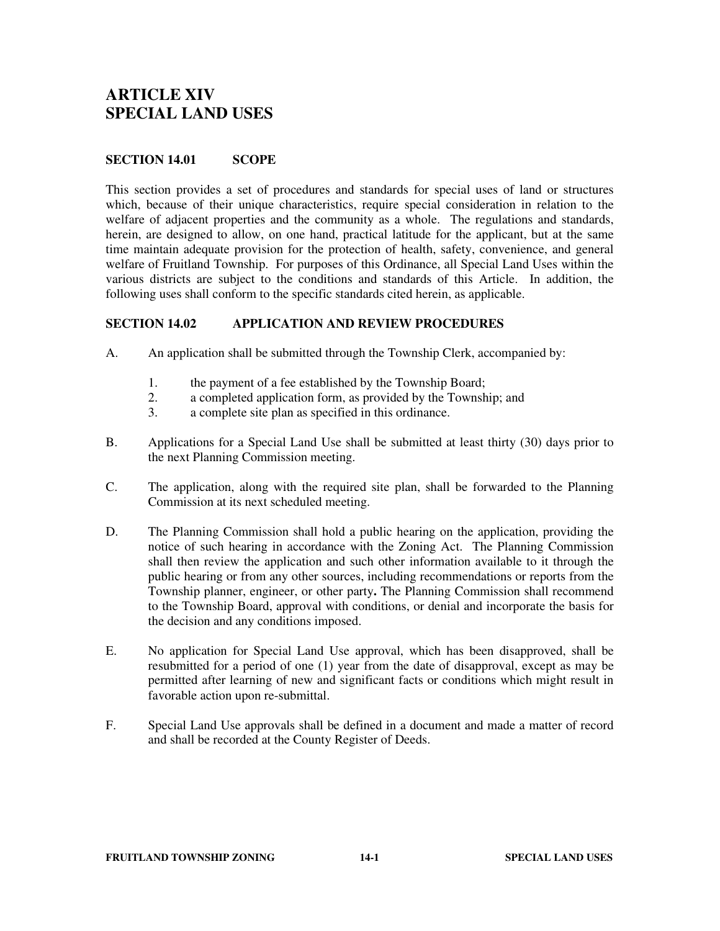# **ARTICLE XIV SPECIAL LAND USES**

## **SECTION 14.01 SCOPE**

This section provides a set of procedures and standards for special uses of land or structures which, because of their unique characteristics, require special consideration in relation to the welfare of adjacent properties and the community as a whole. The regulations and standards, herein, are designed to allow, on one hand, practical latitude for the applicant, but at the same time maintain adequate provision for the protection of health, safety, convenience, and general welfare of Fruitland Township. For purposes of this Ordinance, all Special Land Uses within the various districts are subject to the conditions and standards of this Article. In addition, the following uses shall conform to the specific standards cited herein, as applicable.

## **SECTION 14.02 APPLICATION AND REVIEW PROCEDURES**

- A. An application shall be submitted through the Township Clerk, accompanied by:
	- 1. the payment of a fee established by the Township Board;
	- 2. a completed application form, as provided by the Township; and
	- 3. a complete site plan as specified in this ordinance.
- B. Applications for a Special Land Use shall be submitted at least thirty (30) days prior to the next Planning Commission meeting.
- C. The application, along with the required site plan, shall be forwarded to the Planning Commission at its next scheduled meeting.
- D. The Planning Commission shall hold a public hearing on the application, providing the notice of such hearing in accordance with the Zoning Act. The Planning Commission shall then review the application and such other information available to it through the public hearing or from any other sources, including recommendations or reports from the Township planner, engineer, or other party**.** The Planning Commission shall recommend to the Township Board, approval with conditions, or denial and incorporate the basis for the decision and any conditions imposed.
- E. No application for Special Land Use approval, which has been disapproved, shall be resubmitted for a period of one (1) year from the date of disapproval, except as may be permitted after learning of new and significant facts or conditions which might result in favorable action upon re-submittal.
- F. Special Land Use approvals shall be defined in a document and made a matter of record and shall be recorded at the County Register of Deeds.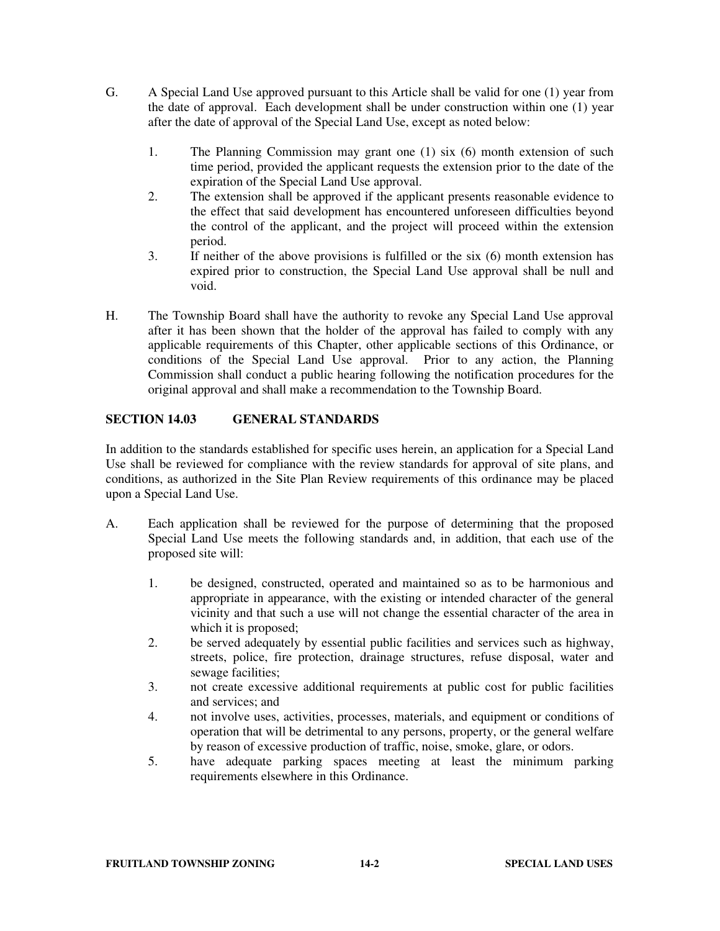- G. A Special Land Use approved pursuant to this Article shall be valid for one (1) year from the date of approval. Each development shall be under construction within one (1) year after the date of approval of the Special Land Use, except as noted below:
	- 1. The Planning Commission may grant one (1) six (6) month extension of such time period, provided the applicant requests the extension prior to the date of the expiration of the Special Land Use approval.
	- 2. The extension shall be approved if the applicant presents reasonable evidence to the effect that said development has encountered unforeseen difficulties beyond the control of the applicant, and the project will proceed within the extension period.
	- 3. If neither of the above provisions is fulfilled or the six (6) month extension has expired prior to construction, the Special Land Use approval shall be null and void.
- H. The Township Board shall have the authority to revoke any Special Land Use approval after it has been shown that the holder of the approval has failed to comply with any applicable requirements of this Chapter, other applicable sections of this Ordinance, or conditions of the Special Land Use approval. Prior to any action, the Planning Commission shall conduct a public hearing following the notification procedures for the original approval and shall make a recommendation to the Township Board.

# **SECTION 14.03 GENERAL STANDARDS**

In addition to the standards established for specific uses herein, an application for a Special Land Use shall be reviewed for compliance with the review standards for approval of site plans, and conditions, as authorized in the Site Plan Review requirements of this ordinance may be placed upon a Special Land Use.

- A. Each application shall be reviewed for the purpose of determining that the proposed Special Land Use meets the following standards and, in addition, that each use of the proposed site will:
	- 1. be designed, constructed, operated and maintained so as to be harmonious and appropriate in appearance, with the existing or intended character of the general vicinity and that such a use will not change the essential character of the area in which it is proposed;
	- 2. be served adequately by essential public facilities and services such as highway, streets, police, fire protection, drainage structures, refuse disposal, water and sewage facilities;
	- 3. not create excessive additional requirements at public cost for public facilities and services; and
	- 4. not involve uses, activities, processes, materials, and equipment or conditions of operation that will be detrimental to any persons, property, or the general welfare by reason of excessive production of traffic, noise, smoke, glare, or odors.
	- 5. have adequate parking spaces meeting at least the minimum parking requirements elsewhere in this Ordinance.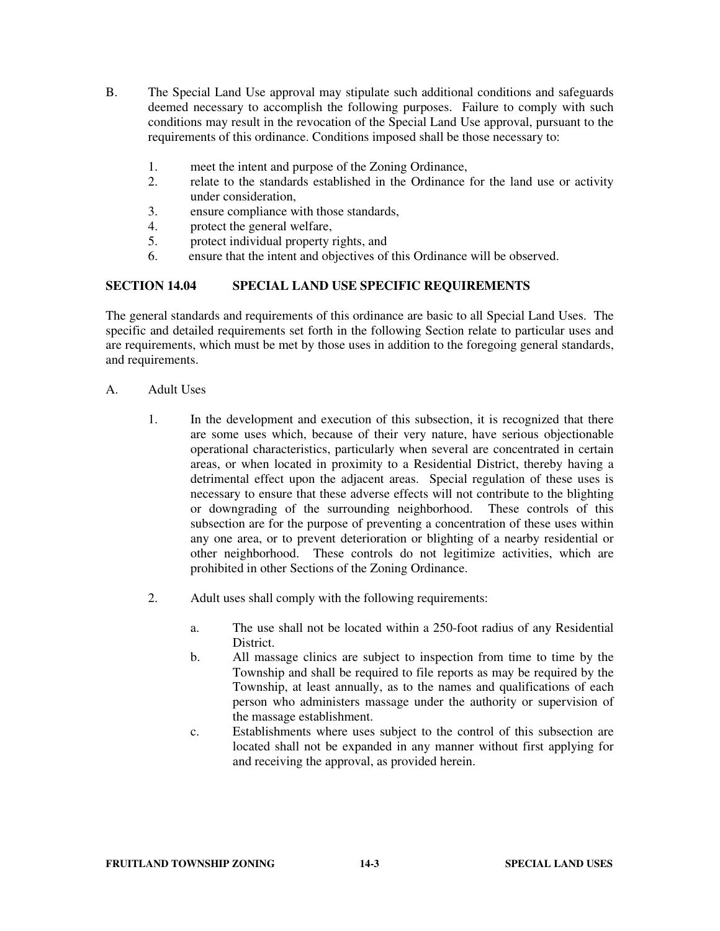- B. The Special Land Use approval may stipulate such additional conditions and safeguards deemed necessary to accomplish the following purposes. Failure to comply with such conditions may result in the revocation of the Special Land Use approval, pursuant to the requirements of this ordinance. Conditions imposed shall be those necessary to:
	- 1. meet the intent and purpose of the Zoning Ordinance,
	- 2. relate to the standards established in the Ordinance for the land use or activity under consideration,
	- 3. ensure compliance with those standards,<br>4. protect the general welfare.
	- protect the general welfare,
	- 5. protect individual property rights, and
	- 6. ensure that the intent and objectives of this Ordinance will be observed.

## **SECTION 14.04 SPECIAL LAND USE SPECIFIC REQUIREMENTS**

The general standards and requirements of this ordinance are basic to all Special Land Uses. The specific and detailed requirements set forth in the following Section relate to particular uses and are requirements, which must be met by those uses in addition to the foregoing general standards, and requirements.

- A. Adult Uses
	- 1. In the development and execution of this subsection, it is recognized that there are some uses which, because of their very nature, have serious objectionable operational characteristics, particularly when several are concentrated in certain areas, or when located in proximity to a Residential District, thereby having a detrimental effect upon the adjacent areas. Special regulation of these uses is necessary to ensure that these adverse effects will not contribute to the blighting or downgrading of the surrounding neighborhood. These controls of this subsection are for the purpose of preventing a concentration of these uses within any one area, or to prevent deterioration or blighting of a nearby residential or other neighborhood. These controls do not legitimize activities, which are prohibited in other Sections of the Zoning Ordinance.
	- 2. Adult uses shall comply with the following requirements:
		- a. The use shall not be located within a 250-foot radius of any Residential District.
		- b. All massage clinics are subject to inspection from time to time by the Township and shall be required to file reports as may be required by the Township, at least annually, as to the names and qualifications of each person who administers massage under the authority or supervision of the massage establishment.
		- c. Establishments where uses subject to the control of this subsection are located shall not be expanded in any manner without first applying for and receiving the approval, as provided herein.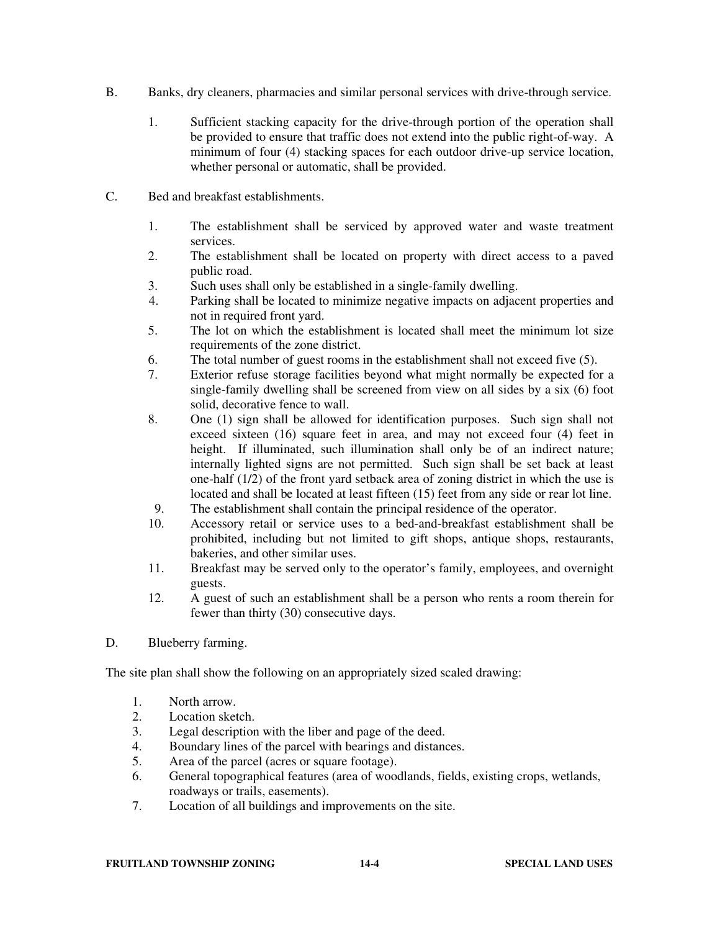- B. Banks, dry cleaners, pharmacies and similar personal services with drive-through service.
	- 1. Sufficient stacking capacity for the drive-through portion of the operation shall be provided to ensure that traffic does not extend into the public right-of-way. A minimum of four (4) stacking spaces for each outdoor drive-up service location, whether personal or automatic, shall be provided.
- C. Bed and breakfast establishments.
	- 1. The establishment shall be serviced by approved water and waste treatment services.
	- 2. The establishment shall be located on property with direct access to a paved public road.
	- 3. Such uses shall only be established in a single-family dwelling.
	- 4. Parking shall be located to minimize negative impacts on adjacent properties and not in required front yard.
	- 5. The lot on which the establishment is located shall meet the minimum lot size requirements of the zone district.
	- 6. The total number of guest rooms in the establishment shall not exceed five (5).
	- 7. Exterior refuse storage facilities beyond what might normally be expected for a single-family dwelling shall be screened from view on all sides by a six (6) foot solid, decorative fence to wall.
	- 8. One (1) sign shall be allowed for identification purposes. Such sign shall not exceed sixteen (16) square feet in area, and may not exceed four (4) feet in height. If illuminated, such illumination shall only be of an indirect nature; internally lighted signs are not permitted. Such sign shall be set back at least one-half (1/2) of the front yard setback area of zoning district in which the use is located and shall be located at least fifteen (15) feet from any side or rear lot line.
	- 9. The establishment shall contain the principal residence of the operator.
	- 10. Accessory retail or service uses to a bed-and-breakfast establishment shall be prohibited, including but not limited to gift shops, antique shops, restaurants, bakeries, and other similar uses.
	- 11. Breakfast may be served only to the operator's family, employees, and overnight guests.
	- 12. A guest of such an establishment shall be a person who rents a room therein for fewer than thirty (30) consecutive days.
- D. Blueberry farming.

The site plan shall show the following on an appropriately sized scaled drawing:

- 1. North arrow.
- 2. Location sketch.
- 3. Legal description with the liber and page of the deed.
- 4. Boundary lines of the parcel with bearings and distances.
- 5. Area of the parcel (acres or square footage).
- 6. General topographical features (area of woodlands, fields, existing crops, wetlands, roadways or trails, easements).
- 7. Location of all buildings and improvements on the site.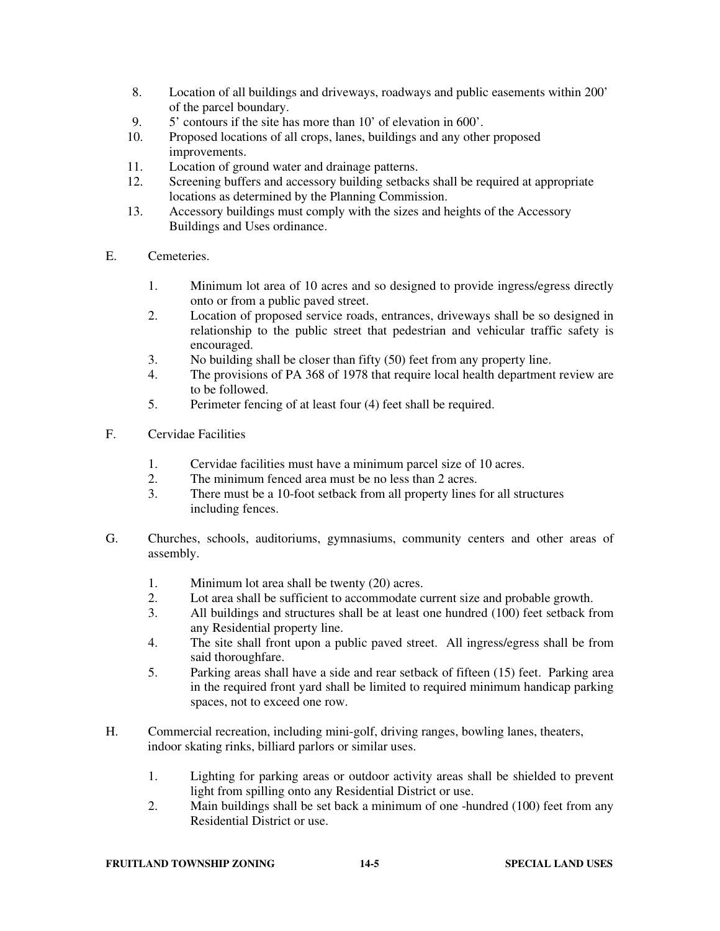- 8. Location of all buildings and driveways, roadways and public easements within 200' of the parcel boundary.
- 9. 5' contours if the site has more than 10' of elevation in 600'.
- 10. Proposed locations of all crops, lanes, buildings and any other proposed improvements.
- 11. Location of ground water and drainage patterns.
- 12. Screening buffers and accessory building setbacks shall be required at appropriate locations as determined by the Planning Commission.
- 13. Accessory buildings must comply with the sizes and heights of the Accessory Buildings and Uses ordinance.
- E. Cemeteries.
	- 1. Minimum lot area of 10 acres and so designed to provide ingress/egress directly onto or from a public paved street.
	- 2. Location of proposed service roads, entrances, driveways shall be so designed in relationship to the public street that pedestrian and vehicular traffic safety is encouraged.
	- 3. No building shall be closer than fifty (50) feet from any property line.
	- 4. The provisions of PA 368 of 1978 that require local health department review are to be followed.
	- 5. Perimeter fencing of at least four (4) feet shall be required.
- F. Cervidae Facilities
	- 1. Cervidae facilities must have a minimum parcel size of 10 acres.
	- 2. The minimum fenced area must be no less than 2 acres.
	- 3. There must be a 10-foot setback from all property lines for all structures including fences.
- G. Churches, schools, auditoriums, gymnasiums, community centers and other areas of assembly.
	- 1. Minimum lot area shall be twenty (20) acres.
	- 2. Lot area shall be sufficient to accommodate current size and probable growth.
	- 3. All buildings and structures shall be at least one hundred (100) feet setback from any Residential property line.
	- 4. The site shall front upon a public paved street. All ingress/egress shall be from said thoroughfare.
	- 5. Parking areas shall have a side and rear setback of fifteen (15) feet. Parking area in the required front yard shall be limited to required minimum handicap parking spaces, not to exceed one row.
- H. Commercial recreation, including mini-golf, driving ranges, bowling lanes, theaters, indoor skating rinks, billiard parlors or similar uses.
	- 1. Lighting for parking areas or outdoor activity areas shall be shielded to prevent light from spilling onto any Residential District or use.
	- 2. Main buildings shall be set back a minimum of one -hundred (100) feet from any Residential District or use.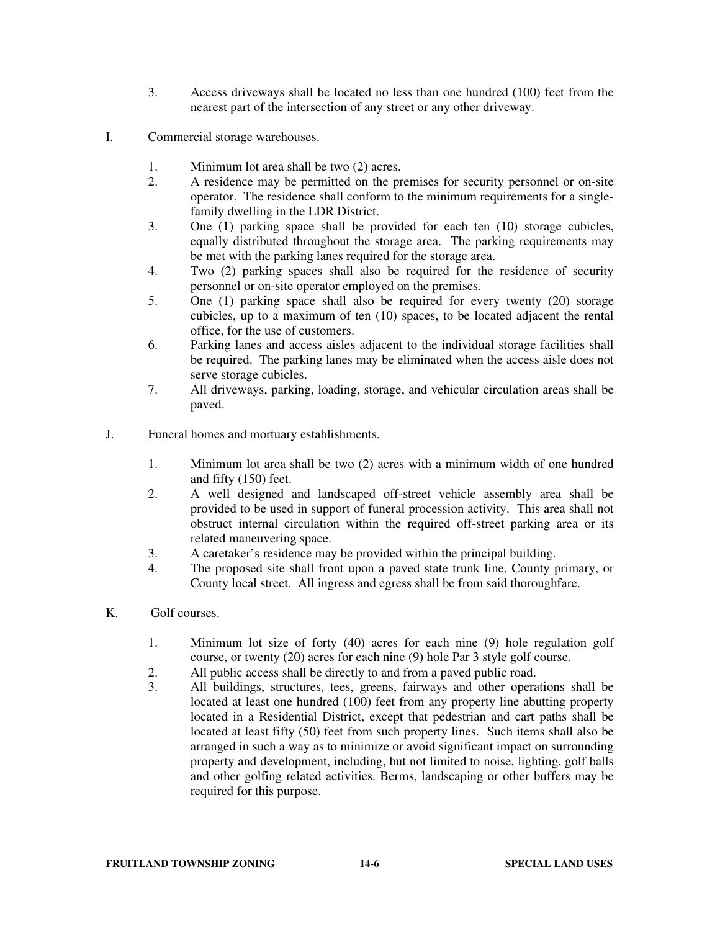- 3. Access driveways shall be located no less than one hundred (100) feet from the nearest part of the intersection of any street or any other driveway.
- I. Commercial storage warehouses.
	- 1. Minimum lot area shall be two (2) acres.
	- 2. A residence may be permitted on the premises for security personnel or on-site operator. The residence shall conform to the minimum requirements for a singlefamily dwelling in the LDR District.
	- 3. One (1) parking space shall be provided for each ten (10) storage cubicles, equally distributed throughout the storage area. The parking requirements may be met with the parking lanes required for the storage area.
	- 4. Two (2) parking spaces shall also be required for the residence of security personnel or on-site operator employed on the premises.
	- 5. One (1) parking space shall also be required for every twenty (20) storage cubicles, up to a maximum of ten (10) spaces, to be located adjacent the rental office, for the use of customers.
	- 6. Parking lanes and access aisles adjacent to the individual storage facilities shall be required. The parking lanes may be eliminated when the access aisle does not serve storage cubicles.
	- 7. All driveways, parking, loading, storage, and vehicular circulation areas shall be paved.
- J. Funeral homes and mortuary establishments.
	- 1. Minimum lot area shall be two (2) acres with a minimum width of one hundred and fifty (150) feet.
	- 2. A well designed and landscaped off-street vehicle assembly area shall be provided to be used in support of funeral procession activity. This area shall not obstruct internal circulation within the required off-street parking area or its related maneuvering space.
	- 3. A caretaker's residence may be provided within the principal building.
	- 4. The proposed site shall front upon a paved state trunk line, County primary, or County local street. All ingress and egress shall be from said thoroughfare.
- K. Golf courses.
	- 1. Minimum lot size of forty (40) acres for each nine (9) hole regulation golf course, or twenty (20) acres for each nine (9) hole Par 3 style golf course.
	- 2. All public access shall be directly to and from a paved public road.
	- 3. All buildings, structures, tees, greens, fairways and other operations shall be located at least one hundred (100) feet from any property line abutting property located in a Residential District, except that pedestrian and cart paths shall be located at least fifty (50) feet from such property lines. Such items shall also be arranged in such a way as to minimize or avoid significant impact on surrounding property and development, including, but not limited to noise, lighting, golf balls and other golfing related activities. Berms, landscaping or other buffers may be required for this purpose.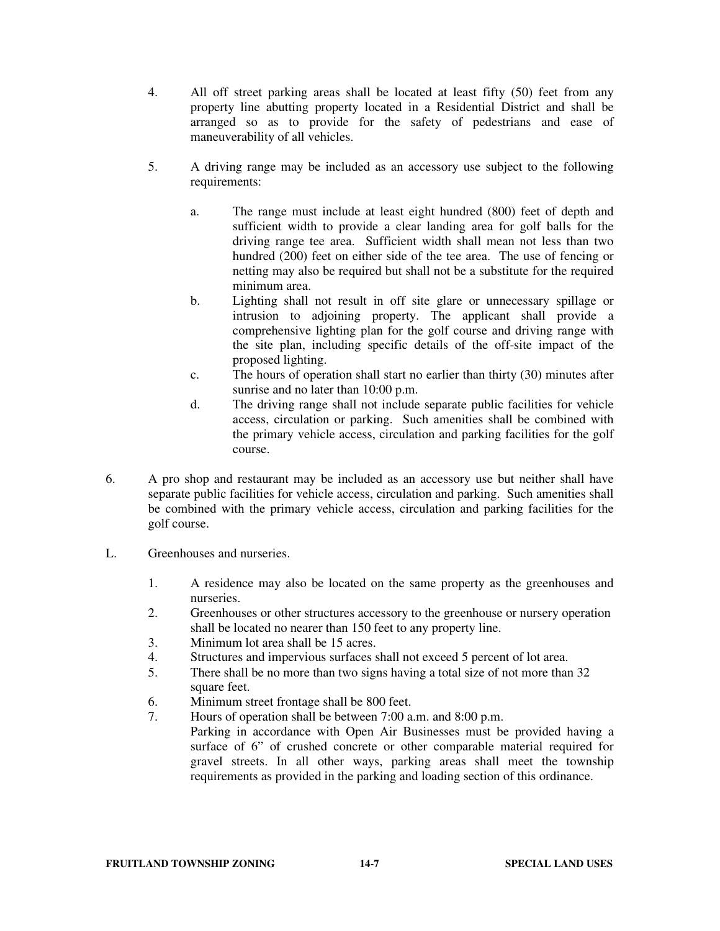- 4. All off street parking areas shall be located at least fifty (50) feet from any property line abutting property located in a Residential District and shall be arranged so as to provide for the safety of pedestrians and ease of maneuverability of all vehicles.
- 5. A driving range may be included as an accessory use subject to the following requirements:
	- a. The range must include at least eight hundred (800) feet of depth and sufficient width to provide a clear landing area for golf balls for the driving range tee area. Sufficient width shall mean not less than two hundred (200) feet on either side of the tee area. The use of fencing or netting may also be required but shall not be a substitute for the required minimum area.
	- b. Lighting shall not result in off site glare or unnecessary spillage or intrusion to adjoining property. The applicant shall provide a comprehensive lighting plan for the golf course and driving range with the site plan, including specific details of the off-site impact of the proposed lighting.
	- c. The hours of operation shall start no earlier than thirty (30) minutes after sunrise and no later than 10:00 p.m.
	- d. The driving range shall not include separate public facilities for vehicle access, circulation or parking. Such amenities shall be combined with the primary vehicle access, circulation and parking facilities for the golf course.
- 6. A pro shop and restaurant may be included as an accessory use but neither shall have separate public facilities for vehicle access, circulation and parking. Such amenities shall be combined with the primary vehicle access, circulation and parking facilities for the golf course.
- L. Greenhouses and nurseries.
	- 1. A residence may also be located on the same property as the greenhouses and nurseries.
	- 2. Greenhouses or other structures accessory to the greenhouse or nursery operation shall be located no nearer than 150 feet to any property line.
	- 3. Minimum lot area shall be 15 acres.
	- 4. Structures and impervious surfaces shall not exceed 5 percent of lot area.
	- 5. There shall be no more than two signs having a total size of not more than 32 square feet.
	- 6. Minimum street frontage shall be 800 feet.
	- 7. Hours of operation shall be between 7:00 a.m. and 8:00 p.m.

Parking in accordance with Open Air Businesses must be provided having a surface of 6" of crushed concrete or other comparable material required for gravel streets. In all other ways, parking areas shall meet the township requirements as provided in the parking and loading section of this ordinance.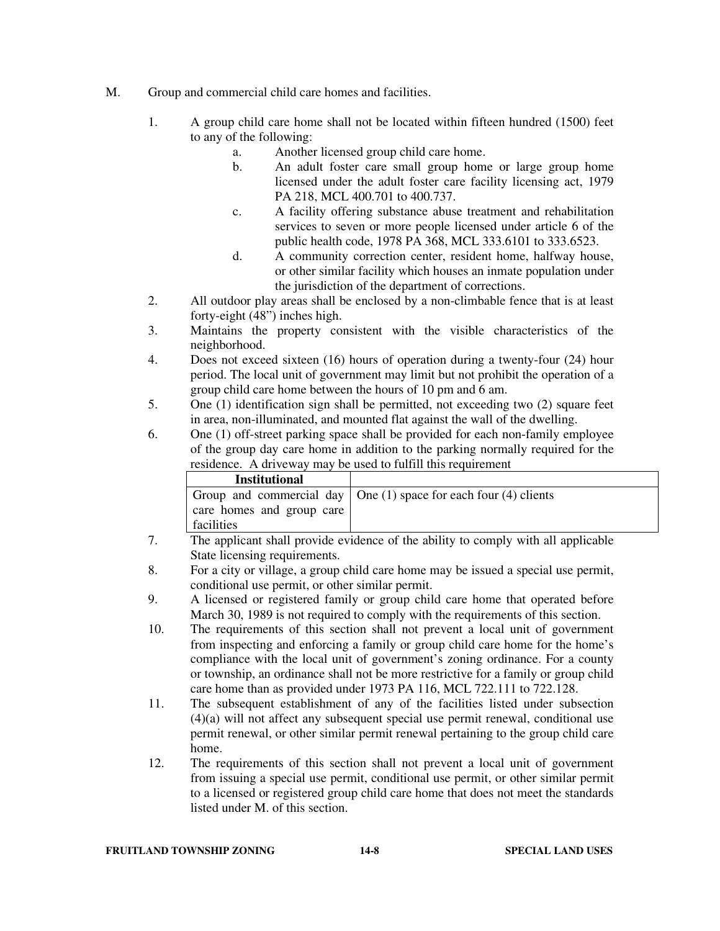- M. Group and commercial child care homes and facilities.
	- 1. A group child care home shall not be located within fifteen hundred (1500) feet to any of the following:
		- a. Another licensed group child care home.
		- b. An adult foster care small group home or large group home licensed under the adult foster care facility licensing act, 1979 PA 218, MCL 400.701 to 400.737.
		- c. A facility offering substance abuse treatment and rehabilitation services to seven or more people licensed under article 6 of the public health code, 1978 PA 368, MCL 333.6101 to 333.6523.
		- d. A community correction center, resident home, halfway house, or other similar facility which houses an inmate population under the jurisdiction of the department of corrections.
	- 2. All outdoor play areas shall be enclosed by a non-climbable fence that is at least forty-eight (48") inches high.
	- 3. Maintains the property consistent with the visible characteristics of the neighborhood.
	- 4. Does not exceed sixteen (16) hours of operation during a twenty-four (24) hour period. The local unit of government may limit but not prohibit the operation of a group child care home between the hours of 10 pm and 6 am.
	- 5. One (1) identification sign shall be permitted, not exceeding two (2) square feet in area, non-illuminated, and mounted flat against the wall of the dwelling.
	- 6. One (1) off-street parking space shall be provided for each non-family employee of the group day care home in addition to the parking normally required for the residence. A driveway may be used to fulfill this requirement

| <b>Institutional</b>      |                                                                          |
|---------------------------|--------------------------------------------------------------------------|
|                           | Group and commercial day $\vert$ One (1) space for each four (4) clients |
| care homes and group care |                                                                          |
| facilities                |                                                                          |

- 7. The applicant shall provide evidence of the ability to comply with all applicable State licensing requirements.
- 8. For a city or village, a group child care home may be issued a special use permit, conditional use permit, or other similar permit.
- 9. A licensed or registered family or group child care home that operated before March 30, 1989 is not required to comply with the requirements of this section.
- 10. The requirements of this section shall not prevent a local unit of government from inspecting and enforcing a family or group child care home for the home's compliance with the local unit of government's zoning ordinance. For a county or township, an ordinance shall not be more restrictive for a family or group child care home than as provided under 1973 PA 116, MCL 722.111 to 722.128.
- 11. The subsequent establishment of any of the facilities listed under subsection (4)(a) will not affect any subsequent special use permit renewal, conditional use permit renewal, or other similar permit renewal pertaining to the group child care home.
- 12. The requirements of this section shall not prevent a local unit of government from issuing a special use permit, conditional use permit, or other similar permit to a licensed or registered group child care home that does not meet the standards listed under M. of this section.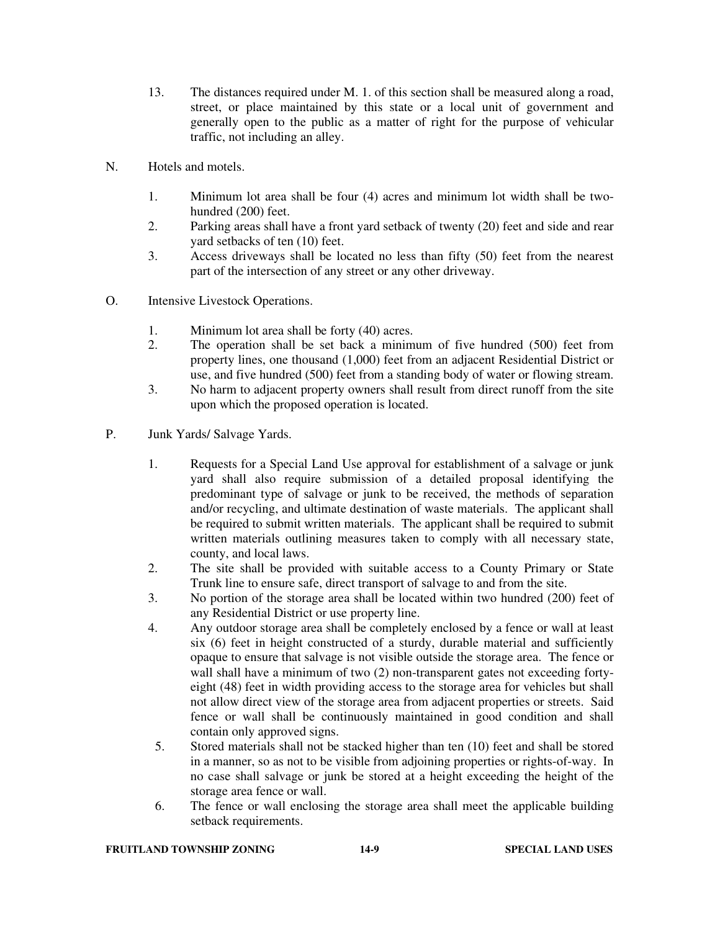- 13. The distances required under M. 1. of this section shall be measured along a road, street, or place maintained by this state or a local unit of government and generally open to the public as a matter of right for the purpose of vehicular traffic, not including an alley.
- N. Hotels and motels.
	- 1. Minimum lot area shall be four (4) acres and minimum lot width shall be twohundred (200) feet.
	- 2. Parking areas shall have a front yard setback of twenty (20) feet and side and rear yard setbacks of ten (10) feet.
	- 3. Access driveways shall be located no less than fifty (50) feet from the nearest part of the intersection of any street or any other driveway.
- O. Intensive Livestock Operations.
	- 1. Minimum lot area shall be forty (40) acres.
	- 2. The operation shall be set back a minimum of five hundred (500) feet from property lines, one thousand (1,000) feet from an adjacent Residential District or use, and five hundred (500) feet from a standing body of water or flowing stream.
	- 3. No harm to adjacent property owners shall result from direct runoff from the site upon which the proposed operation is located.
- P. Junk Yards/ Salvage Yards.
	- 1. Requests for a Special Land Use approval for establishment of a salvage or junk yard shall also require submission of a detailed proposal identifying the predominant type of salvage or junk to be received, the methods of separation and/or recycling, and ultimate destination of waste materials. The applicant shall be required to submit written materials. The applicant shall be required to submit written materials outlining measures taken to comply with all necessary state, county, and local laws.
	- 2. The site shall be provided with suitable access to a County Primary or State Trunk line to ensure safe, direct transport of salvage to and from the site.
	- 3. No portion of the storage area shall be located within two hundred (200) feet of any Residential District or use property line.
	- 4. Any outdoor storage area shall be completely enclosed by a fence or wall at least six (6) feet in height constructed of a sturdy, durable material and sufficiently opaque to ensure that salvage is not visible outside the storage area. The fence or wall shall have a minimum of two  $(2)$  non-transparent gates not exceeding fortyeight (48) feet in width providing access to the storage area for vehicles but shall not allow direct view of the storage area from adjacent properties or streets. Said fence or wall shall be continuously maintained in good condition and shall contain only approved signs.
		- 5. Stored materials shall not be stacked higher than ten (10) feet and shall be stored in a manner, so as not to be visible from adjoining properties or rights-of-way. In no case shall salvage or junk be stored at a height exceeding the height of the storage area fence or wall.
	- 6. The fence or wall enclosing the storage area shall meet the applicable building setback requirements.

#### **FRUITLAND TOWNSHIP ZONING 14-9 SPECIAL LAND USES**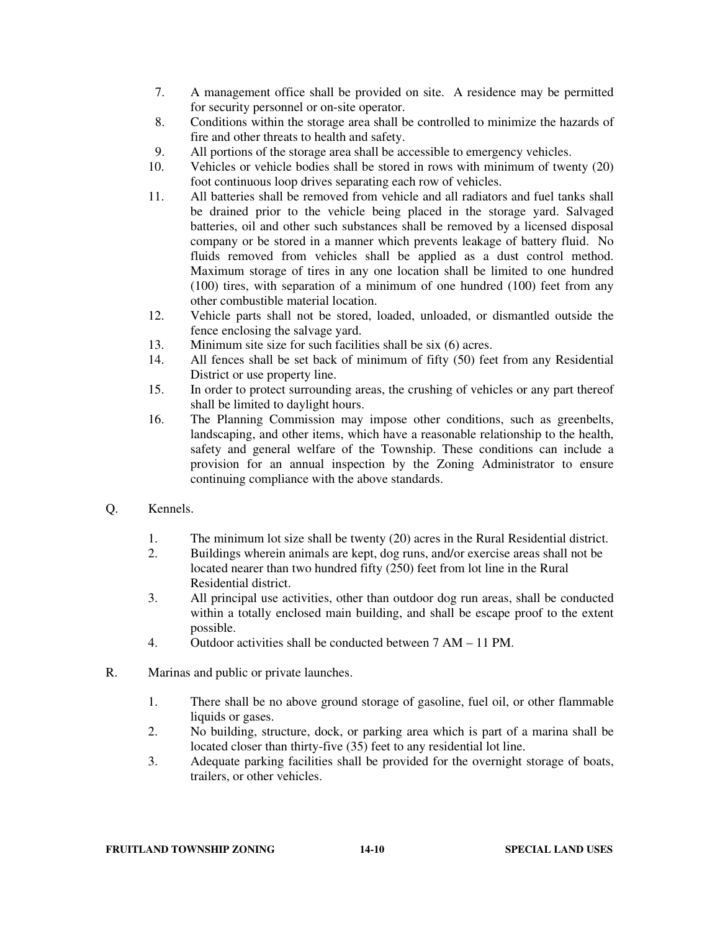- 7. A management office shall be provided on site. A residence may be permitted for security personnel or on-site operator.
- 8. Conditions within the storage area shall be controlled to minimize the hazards of fire and other threats to health and safety.
- 9. All portions of the storage area shall be accessible to emergency vehicles.
- 10. Vehicles or vehicle bodies shall be stored in rows with minimum of twenty (20) foot continuous loop drives separating each row of vehicles.
- 11. All batteries shall be removed from vehicle and all radiators and fuel tanks shall be drained prior to the vehicle being placed in the storage yard. Salvaged batteries, oil and other such substances shall be removed by a licensed disposal company or be stored in a manner which prevents leakage of battery fluid. No fluids removed from vehicles shall be applied as a dust control method. Maximum storage of tires in any one location shall be limited to one hundred (100) tires, with separation of a minimum of one hundred (100) feet from any other combustible material location.
- 12. Vehicle parts shall not be stored, loaded, unloaded, or dismantled outside the fence enclosing the salvage yard.
- 13. Minimum site size for such facilities shall be six (6) acres.
- 14. All fences shall be set back of minimum of fifty (50) feet from any Residential District or use property line.
- 15. In order to protect surrounding areas, the crushing of vehicles or any part thereof shall be limited to daylight hours.
- 16. The Planning Commission may impose other conditions, such as greenbelts, landscaping, and other items, which have a reasonable relationship to the health, safety and general welfare of the Township. These conditions can include a provision for an annual inspection by the Zoning Administrator to ensure continuing compliance with the above standards.
- Q. Kennels.
	- 1. The minimum lot size shall be twenty (20) acres in the Rural Residential district.
	- 2. Buildings wherein animals are kept, dog runs, and/or exercise areas shall not be located nearer than two hundred fifty (250) feet from lot line in the Rural Residential district.
	- 3. All principal use activities, other than outdoor dog run areas, shall be conducted within a totally enclosed main building, and shall be escape proof to the extent possible.
	- 4. Outdoor activities shall be conducted between 7 AM 11 PM.
- R. Marinas and public or private launches.
	- 1. There shall be no above ground storage of gasoline, fuel oil, or other flammable liquids or gases.
	- 2. No building, structure, dock, or parking area which is part of a marina shall be located closer than thirty-five (35) feet to any residential lot line.
	- 3. Adequate parking facilities shall be provided for the overnight storage of boats, trailers, or other vehicles.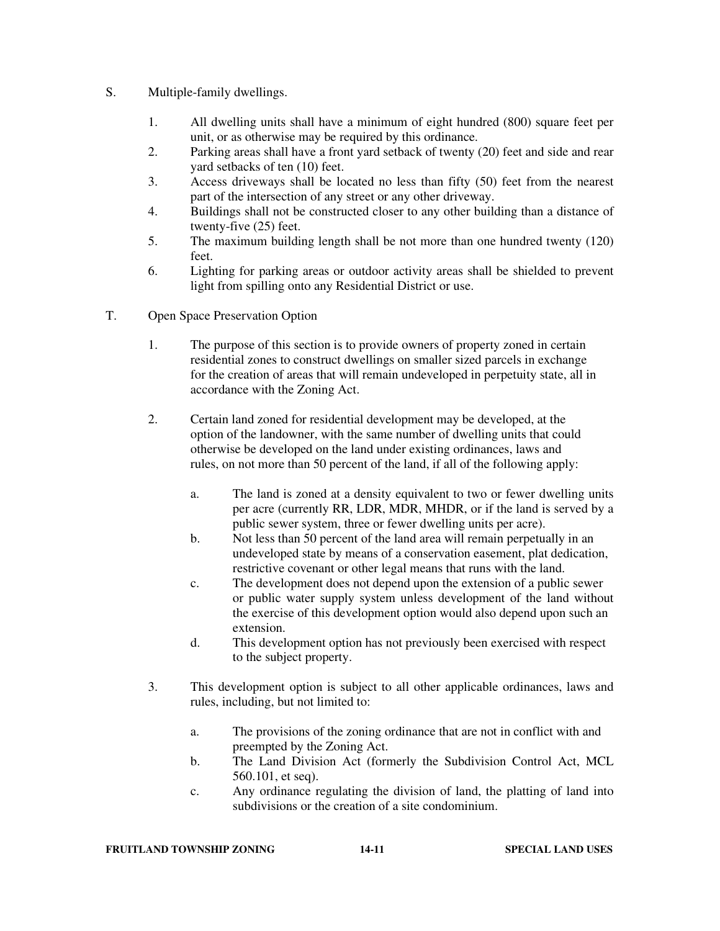- S. Multiple-family dwellings.
	- 1. All dwelling units shall have a minimum of eight hundred (800) square feet per unit, or as otherwise may be required by this ordinance.
	- 2. Parking areas shall have a front yard setback of twenty (20) feet and side and rear yard setbacks of ten (10) feet.
	- 3. Access driveways shall be located no less than fifty (50) feet from the nearest part of the intersection of any street or any other driveway.
	- 4. Buildings shall not be constructed closer to any other building than a distance of twenty-five (25) feet.
	- 5. The maximum building length shall be not more than one hundred twenty (120) feet.
	- 6. Lighting for parking areas or outdoor activity areas shall be shielded to prevent light from spilling onto any Residential District or use.
- T. Open Space Preservation Option
	- 1. The purpose of this section is to provide owners of property zoned in certain residential zones to construct dwellings on smaller sized parcels in exchange for the creation of areas that will remain undeveloped in perpetuity state, all in accordance with the Zoning Act.
	- 2. Certain land zoned for residential development may be developed, at the option of the landowner, with the same number of dwelling units that could otherwise be developed on the land under existing ordinances, laws and rules, on not more than 50 percent of the land, if all of the following apply:
		- a. The land is zoned at a density equivalent to two or fewer dwelling units per acre (currently RR, LDR, MDR, MHDR, or if the land is served by a public sewer system, three or fewer dwelling units per acre).
		- b. Not less than 50 percent of the land area will remain perpetually in an undeveloped state by means of a conservation easement, plat dedication, restrictive covenant or other legal means that runs with the land.
		- c. The development does not depend upon the extension of a public sewer or public water supply system unless development of the land without the exercise of this development option would also depend upon such an extension.
		- d. This development option has not previously been exercised with respect to the subject property.
	- 3. This development option is subject to all other applicable ordinances, laws and rules, including, but not limited to:
		- a. The provisions of the zoning ordinance that are not in conflict with and preempted by the Zoning Act.
		- b. The Land Division Act (formerly the Subdivision Control Act, MCL 560.101, et seq).
		- c. Any ordinance regulating the division of land, the platting of land into subdivisions or the creation of a site condominium.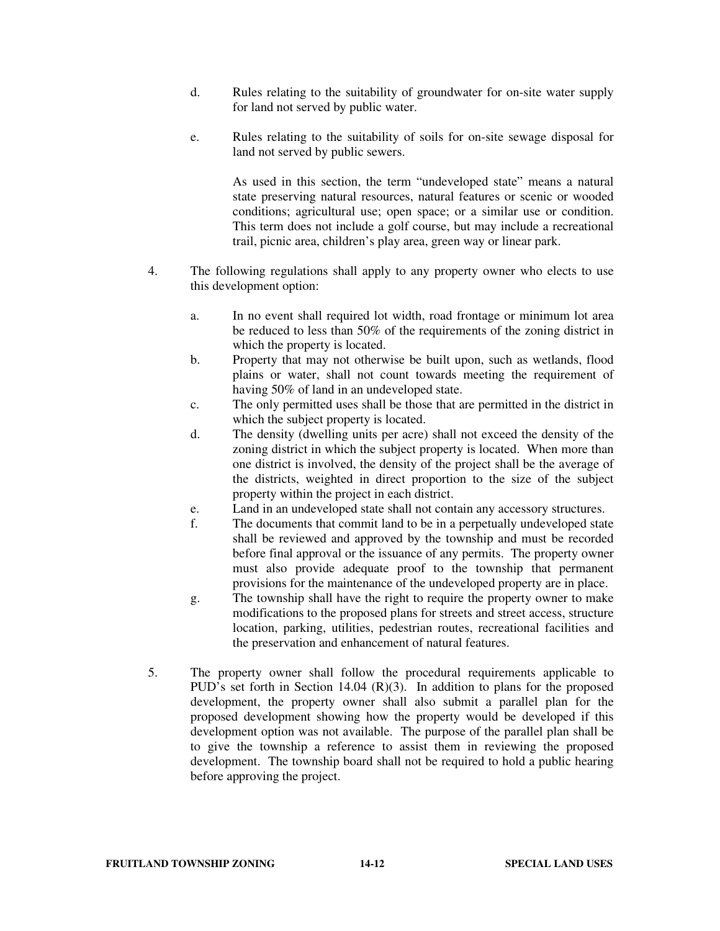- d. Rules relating to the suitability of groundwater for on-site water supply for land not served by public water.
- e. Rules relating to the suitability of soils for on-site sewage disposal for land not served by public sewers.

As used in this section, the term "undeveloped state" means a natural state preserving natural resources, natural features or scenic or wooded conditions; agricultural use; open space; or a similar use or condition. This term does not include a golf course, but may include a recreational trail, picnic area, children's play area, green way or linear park.

- 4. The following regulations shall apply to any property owner who elects to use this development option:
	- a. In no event shall required lot width, road frontage or minimum lot area be reduced to less than 50% of the requirements of the zoning district in which the property is located.
	- b. Property that may not otherwise be built upon, such as wetlands, flood plains or water, shall not count towards meeting the requirement of having 50% of land in an undeveloped state.
	- c. The only permitted uses shall be those that are permitted in the district in which the subject property is located.
	- d. The density (dwelling units per acre) shall not exceed the density of the zoning district in which the subject property is located. When more than one district is involved, the density of the project shall be the average of the districts, weighted in direct proportion to the size of the subject property within the project in each district.
	- e. Land in an undeveloped state shall not contain any accessory structures.
	- f. The documents that commit land to be in a perpetually undeveloped state shall be reviewed and approved by the township and must be recorded before final approval or the issuance of any permits. The property owner must also provide adequate proof to the township that permanent provisions for the maintenance of the undeveloped property are in place.
	- g. The township shall have the right to require the property owner to make modifications to the proposed plans for streets and street access, structure location, parking, utilities, pedestrian routes, recreational facilities and the preservation and enhancement of natural features.
- 5. The property owner shall follow the procedural requirements applicable to PUD's set forth in Section 14.04 (R)(3). In addition to plans for the proposed development, the property owner shall also submit a parallel plan for the proposed development showing how the property would be developed if this development option was not available. The purpose of the parallel plan shall be to give the township a reference to assist them in reviewing the proposed development. The township board shall not be required to hold a public hearing before approving the project.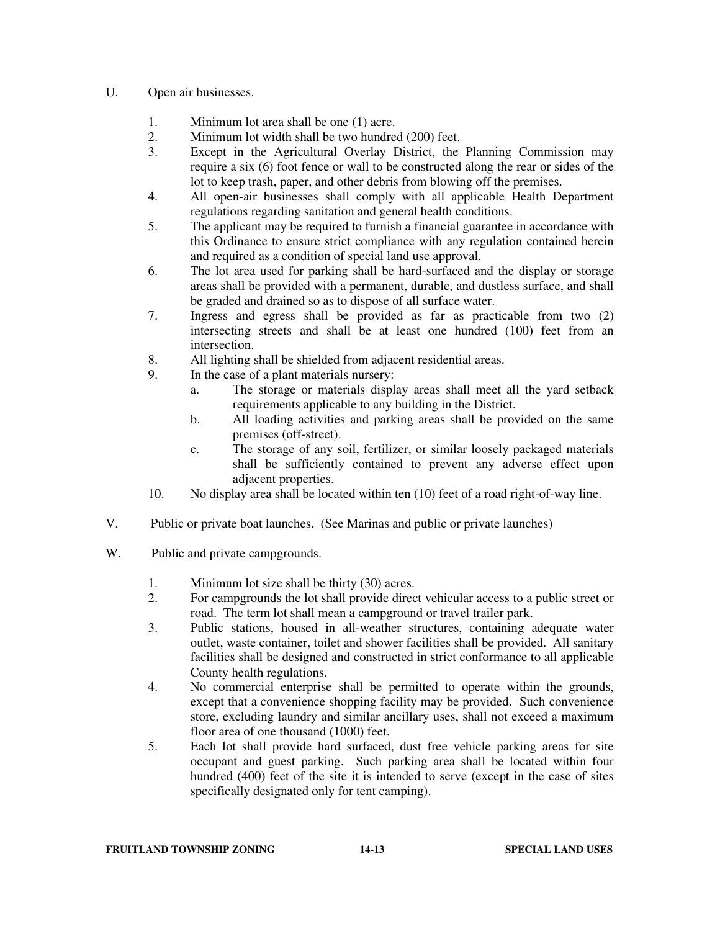## U. Open air businesses.

- 1. Minimum lot area shall be one (1) acre.
- 2. Minimum lot width shall be two hundred (200) feet.
- 3. Except in the Agricultural Overlay District, the Planning Commission may require a six (6) foot fence or wall to be constructed along the rear or sides of the lot to keep trash, paper, and other debris from blowing off the premises.
- 4. All open-air businesses shall comply with all applicable Health Department regulations regarding sanitation and general health conditions.
- 5. The applicant may be required to furnish a financial guarantee in accordance with this Ordinance to ensure strict compliance with any regulation contained herein and required as a condition of special land use approval.
- 6. The lot area used for parking shall be hard-surfaced and the display or storage areas shall be provided with a permanent, durable, and dustless surface, and shall be graded and drained so as to dispose of all surface water.
- 7. Ingress and egress shall be provided as far as practicable from two (2) intersecting streets and shall be at least one hundred (100) feet from an intersection.
- 8. All lighting shall be shielded from adjacent residential areas.
- 9. In the case of a plant materials nursery:
	- a. The storage or materials display areas shall meet all the yard setback requirements applicable to any building in the District.
	- b. All loading activities and parking areas shall be provided on the same premises (off-street).
	- c. The storage of any soil, fertilizer, or similar loosely packaged materials shall be sufficiently contained to prevent any adverse effect upon adjacent properties.
- 10. No display area shall be located within ten (10) feet of a road right-of-way line.
- V. Public or private boat launches. (See Marinas and public or private launches)
- W. Public and private campgrounds.
	- 1. Minimum lot size shall be thirty (30) acres.
	- 2. For campgrounds the lot shall provide direct vehicular access to a public street or road. The term lot shall mean a campground or travel trailer park.
	- 3. Public stations, housed in all-weather structures, containing adequate water outlet, waste container, toilet and shower facilities shall be provided. All sanitary facilities shall be designed and constructed in strict conformance to all applicable County health regulations.
	- 4. No commercial enterprise shall be permitted to operate within the grounds, except that a convenience shopping facility may be provided. Such convenience store, excluding laundry and similar ancillary uses, shall not exceed a maximum floor area of one thousand (1000) feet.
	- 5. Each lot shall provide hard surfaced, dust free vehicle parking areas for site occupant and guest parking. Such parking area shall be located within four hundred (400) feet of the site it is intended to serve (except in the case of sites specifically designated only for tent camping).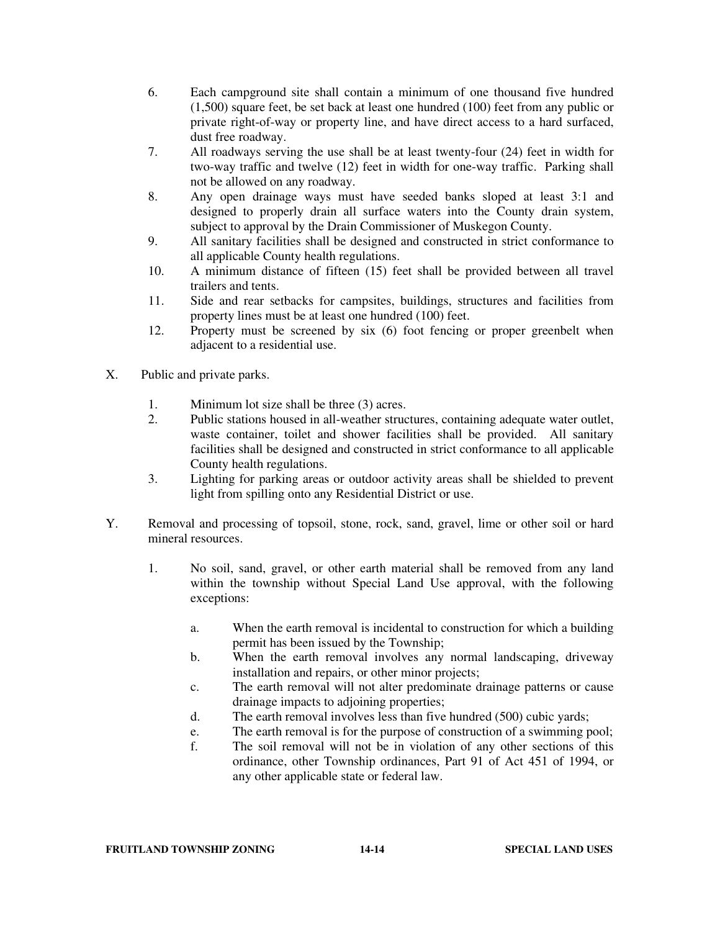- 6. Each campground site shall contain a minimum of one thousand five hundred (1,500) square feet, be set back at least one hundred (100) feet from any public or private right-of-way or property line, and have direct access to a hard surfaced, dust free roadway.
- 7. All roadways serving the use shall be at least twenty-four (24) feet in width for two-way traffic and twelve (12) feet in width for one-way traffic. Parking shall not be allowed on any roadway.
- 8. Any open drainage ways must have seeded banks sloped at least 3:1 and designed to properly drain all surface waters into the County drain system, subject to approval by the Drain Commissioner of Muskegon County.
- 9. All sanitary facilities shall be designed and constructed in strict conformance to all applicable County health regulations.
- 10. A minimum distance of fifteen (15) feet shall be provided between all travel trailers and tents.
- 11. Side and rear setbacks for campsites, buildings, structures and facilities from property lines must be at least one hundred (100) feet.
- 12. Property must be screened by six (6) foot fencing or proper greenbelt when adjacent to a residential use.
- X. Public and private parks.
	- 1. Minimum lot size shall be three (3) acres.
	- 2. Public stations housed in all-weather structures, containing adequate water outlet, waste container, toilet and shower facilities shall be provided. All sanitary facilities shall be designed and constructed in strict conformance to all applicable County health regulations.
	- 3. Lighting for parking areas or outdoor activity areas shall be shielded to prevent light from spilling onto any Residential District or use.
- Y. Removal and processing of topsoil, stone, rock, sand, gravel, lime or other soil or hard mineral resources.
	- 1. No soil, sand, gravel, or other earth material shall be removed from any land within the township without Special Land Use approval, with the following exceptions:
		- a. When the earth removal is incidental to construction for which a building permit has been issued by the Township;
		- b. When the earth removal involves any normal landscaping, driveway installation and repairs, or other minor projects;
		- c. The earth removal will not alter predominate drainage patterns or cause drainage impacts to adjoining properties;
		- d. The earth removal involves less than five hundred (500) cubic yards;
		- e. The earth removal is for the purpose of construction of a swimming pool;
		- f. The soil removal will not be in violation of any other sections of this ordinance, other Township ordinances, Part 91 of Act 451 of 1994, or any other applicable state or federal law.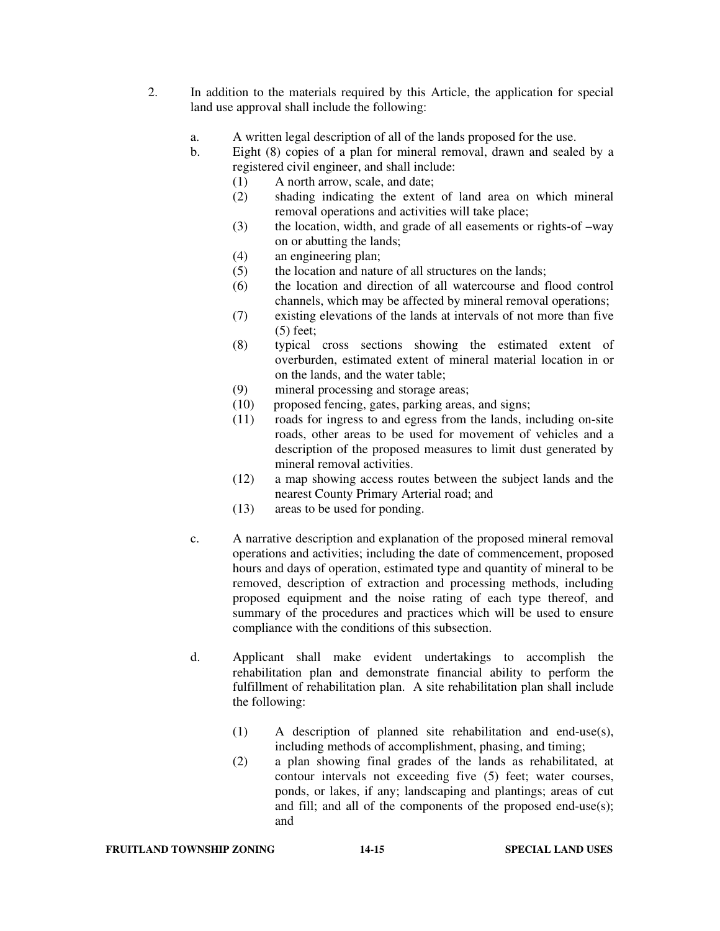- 2. In addition to the materials required by this Article, the application for special land use approval shall include the following:
	- a. A written legal description of all of the lands proposed for the use.
	- b. Eight (8) copies of a plan for mineral removal, drawn and sealed by a registered civil engineer, and shall include:
		- (1) A north arrow, scale, and date;
		- (2) shading indicating the extent of land area on which mineral removal operations and activities will take place;
		- (3) the location, width, and grade of all easements or rights-of –way on or abutting the lands;
		- (4) an engineering plan;
		- (5) the location and nature of all structures on the lands;
		- (6) the location and direction of all watercourse and flood control channels, which may be affected by mineral removal operations;
		- (7) existing elevations of the lands at intervals of not more than five (5) feet;
		- (8) typical cross sections showing the estimated extent of overburden, estimated extent of mineral material location in or on the lands, and the water table;
		- (9) mineral processing and storage areas;
		- (10) proposed fencing, gates, parking areas, and signs;
		- (11) roads for ingress to and egress from the lands, including on-site roads, other areas to be used for movement of vehicles and a description of the proposed measures to limit dust generated by mineral removal activities.
		- (12) a map showing access routes between the subject lands and the nearest County Primary Arterial road; and
		- (13) areas to be used for ponding.
	- c. A narrative description and explanation of the proposed mineral removal operations and activities; including the date of commencement, proposed hours and days of operation, estimated type and quantity of mineral to be removed, description of extraction and processing methods, including proposed equipment and the noise rating of each type thereof, and summary of the procedures and practices which will be used to ensure compliance with the conditions of this subsection.
	- d. Applicant shall make evident undertakings to accomplish the rehabilitation plan and demonstrate financial ability to perform the fulfillment of rehabilitation plan. A site rehabilitation plan shall include the following:
		- (1) A description of planned site rehabilitation and end-use(s), including methods of accomplishment, phasing, and timing;
		- (2) a plan showing final grades of the lands as rehabilitated, at contour intervals not exceeding five (5) feet; water courses, ponds, or lakes, if any; landscaping and plantings; areas of cut and fill; and all of the components of the proposed end-use(s); and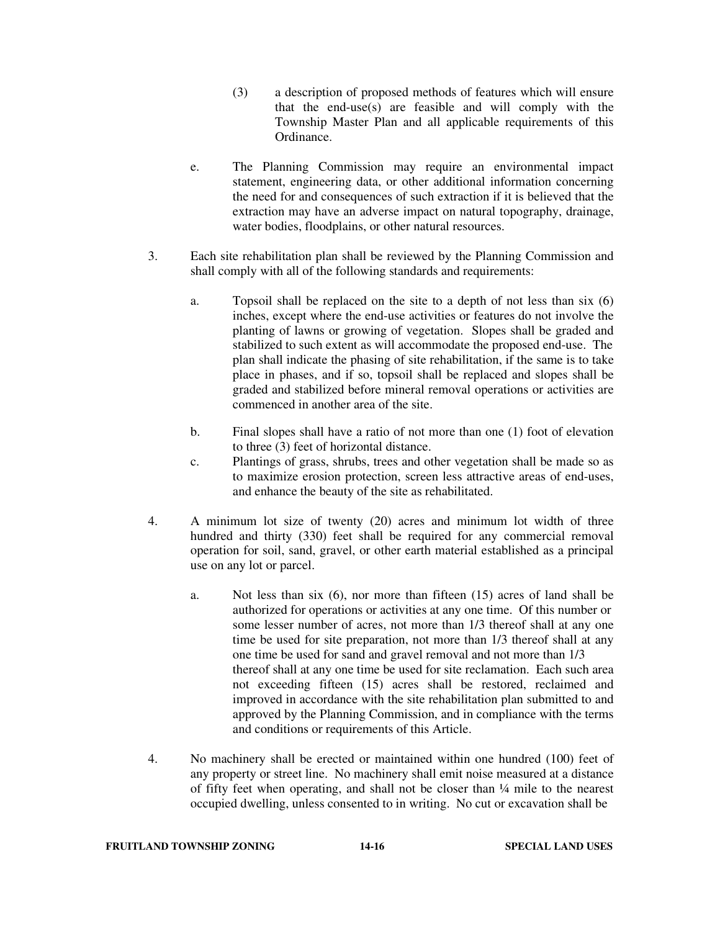- (3) a description of proposed methods of features which will ensure that the end-use $(s)$  are feasible and will comply with the Township Master Plan and all applicable requirements of this Ordinance.
- e. The Planning Commission may require an environmental impact statement, engineering data, or other additional information concerning the need for and consequences of such extraction if it is believed that the extraction may have an adverse impact on natural topography, drainage, water bodies, floodplains, or other natural resources.
- 3. Each site rehabilitation plan shall be reviewed by the Planning Commission and shall comply with all of the following standards and requirements:
	- a. Topsoil shall be replaced on the site to a depth of not less than six (6) inches, except where the end-use activities or features do not involve the planting of lawns or growing of vegetation. Slopes shall be graded and stabilized to such extent as will accommodate the proposed end-use. The plan shall indicate the phasing of site rehabilitation, if the same is to take place in phases, and if so, topsoil shall be replaced and slopes shall be graded and stabilized before mineral removal operations or activities are commenced in another area of the site.
	- b. Final slopes shall have a ratio of not more than one (1) foot of elevation to three (3) feet of horizontal distance.
	- c. Plantings of grass, shrubs, trees and other vegetation shall be made so as to maximize erosion protection, screen less attractive areas of end-uses, and enhance the beauty of the site as rehabilitated.
- 4. A minimum lot size of twenty (20) acres and minimum lot width of three hundred and thirty (330) feet shall be required for any commercial removal operation for soil, sand, gravel, or other earth material established as a principal use on any lot or parcel.
	- a. Not less than six (6), nor more than fifteen (15) acres of land shall be authorized for operations or activities at any one time. Of this number or some lesser number of acres, not more than 1/3 thereof shall at any one time be used for site preparation, not more than 1/3 thereof shall at any one time be used for sand and gravel removal and not more than 1/3 thereof shall at any one time be used for site reclamation. Each such area not exceeding fifteen (15) acres shall be restored, reclaimed and improved in accordance with the site rehabilitation plan submitted to and approved by the Planning Commission, and in compliance with the terms and conditions or requirements of this Article.
- 4. No machinery shall be erected or maintained within one hundred (100) feet of any property or street line. No machinery shall emit noise measured at a distance of fifty feet when operating, and shall not be closer than ¼ mile to the nearest occupied dwelling, unless consented to in writing. No cut or excavation shall be

#### **FRUITLAND TOWNSHIP ZONING 14-16 SPECIAL LAND USES**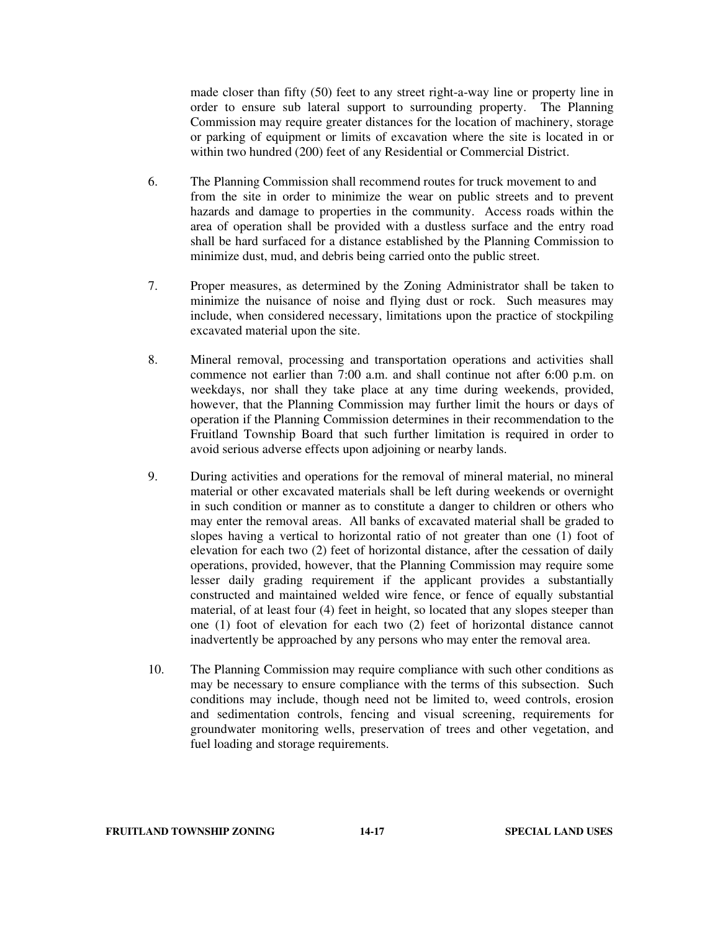made closer than fifty (50) feet to any street right-a-way line or property line in order to ensure sub lateral support to surrounding property. The Planning Commission may require greater distances for the location of machinery, storage or parking of equipment or limits of excavation where the site is located in or within two hundred (200) feet of any Residential or Commercial District.

- 6. The Planning Commission shall recommend routes for truck movement to and from the site in order to minimize the wear on public streets and to prevent hazards and damage to properties in the community. Access roads within the area of operation shall be provided with a dustless surface and the entry road shall be hard surfaced for a distance established by the Planning Commission to minimize dust, mud, and debris being carried onto the public street.
- 7. Proper measures, as determined by the Zoning Administrator shall be taken to minimize the nuisance of noise and flying dust or rock. Such measures may include, when considered necessary, limitations upon the practice of stockpiling excavated material upon the site.
- 8. Mineral removal, processing and transportation operations and activities shall commence not earlier than 7:00 a.m. and shall continue not after 6:00 p.m. on weekdays, nor shall they take place at any time during weekends, provided, however, that the Planning Commission may further limit the hours or days of operation if the Planning Commission determines in their recommendation to the Fruitland Township Board that such further limitation is required in order to avoid serious adverse effects upon adjoining or nearby lands.
- 9. During activities and operations for the removal of mineral material, no mineral material or other excavated materials shall be left during weekends or overnight in such condition or manner as to constitute a danger to children or others who may enter the removal areas. All banks of excavated material shall be graded to slopes having a vertical to horizontal ratio of not greater than one (1) foot of elevation for each two (2) feet of horizontal distance, after the cessation of daily operations, provided, however, that the Planning Commission may require some lesser daily grading requirement if the applicant provides a substantially constructed and maintained welded wire fence, or fence of equally substantial material, of at least four (4) feet in height, so located that any slopes steeper than one (1) foot of elevation for each two (2) feet of horizontal distance cannot inadvertently be approached by any persons who may enter the removal area.
- 10. The Planning Commission may require compliance with such other conditions as may be necessary to ensure compliance with the terms of this subsection. Such conditions may include, though need not be limited to, weed controls, erosion and sedimentation controls, fencing and visual screening, requirements for groundwater monitoring wells, preservation of trees and other vegetation, and fuel loading and storage requirements.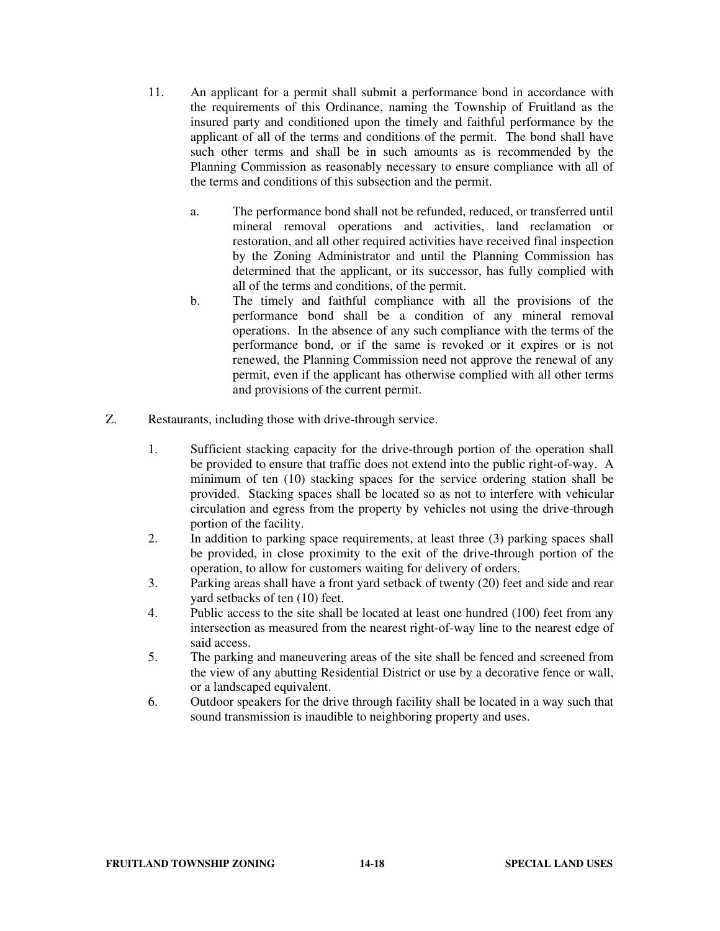- 11. An applicant for a permit shall submit a performance bond in accordance with the requirements of this Ordinance, naming the Township of Fruitland as the insured party and conditioned upon the timely and faithful performance by the applicant of all of the terms and conditions of the permit. The bond shall have such other terms and shall be in such amounts as is recommended by the Planning Commission as reasonably necessary to ensure compliance with all of the terms and conditions of this subsection and the permit.
	- a. The performance bond shall not be refunded, reduced, or transferred until mineral removal operations and activities, land reclamation or restoration, and all other required activities have received final inspection by the Zoning Administrator and until the Planning Commission has determined that the applicant, or its successor, has fully complied with all of the terms and conditions, of the permit.
	- b. The timely and faithful compliance with all the provisions of the performance bond shall be a condition of any mineral removal operations. In the absence of any such compliance with the terms of the performance bond, or if the same is revoked or it expires or is not renewed, the Planning Commission need not approve the renewal of any permit, even if the applicant has otherwise complied with all other terms and provisions of the current permit.
- Z. Restaurants, including those with drive-through service.
	- 1. Sufficient stacking capacity for the drive-through portion of the operation shall be provided to ensure that traffic does not extend into the public right-of-way. A minimum of ten (10) stacking spaces for the service ordering station shall be provided. Stacking spaces shall be located so as not to interfere with vehicular circulation and egress from the property by vehicles not using the drive-through portion of the facility.
	- 2. In addition to parking space requirements, at least three (3) parking spaces shall be provided, in close proximity to the exit of the drive-through portion of the operation, to allow for customers waiting for delivery of orders.
	- 3. Parking areas shall have a front yard setback of twenty (20) feet and side and rear yard setbacks of ten (10) feet.
	- 4. Public access to the site shall be located at least one hundred (100) feet from any intersection as measured from the nearest right-of-way line to the nearest edge of said access.
	- 5. The parking and maneuvering areas of the site shall be fenced and screened from the view of any abutting Residential District or use by a decorative fence or wall, or a landscaped equivalent.
	- 6. Outdoor speakers for the drive through facility shall be located in a way such that sound transmission is inaudible to neighboring property and uses.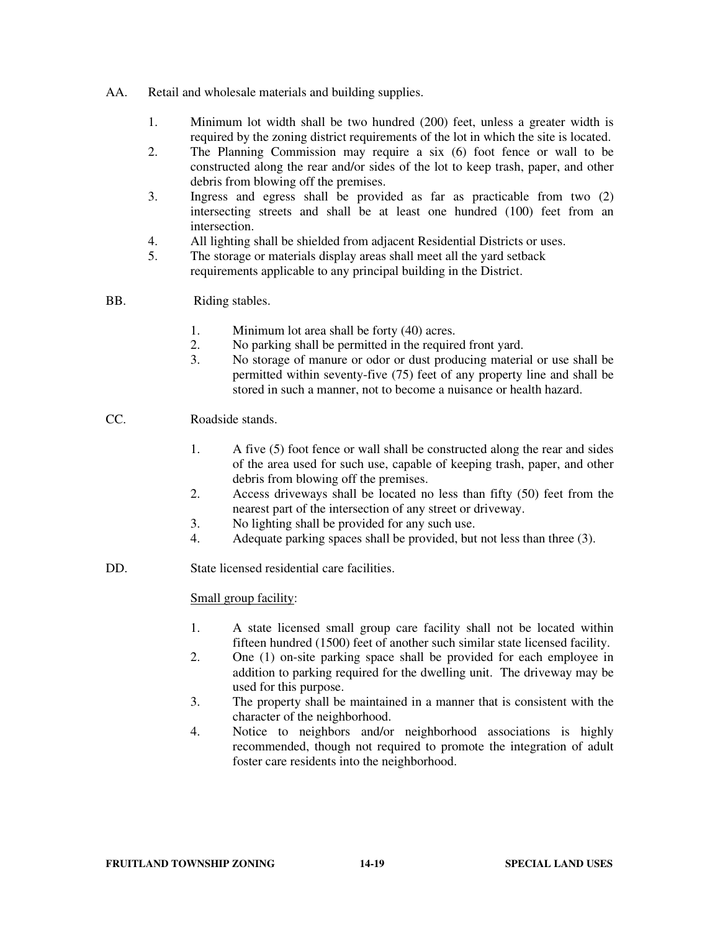- AA. Retail and wholesale materials and building supplies.
	- 1. Minimum lot width shall be two hundred (200) feet, unless a greater width is required by the zoning district requirements of the lot in which the site is located.
	- 2. The Planning Commission may require a six (6) foot fence or wall to be constructed along the rear and/or sides of the lot to keep trash, paper, and other debris from blowing off the premises.
	- 3. Ingress and egress shall be provided as far as practicable from two (2) intersecting streets and shall be at least one hundred (100) feet from an intersection.
	- 4. All lighting shall be shielded from adjacent Residential Districts or uses.
	- 5. The storage or materials display areas shall meet all the yard setback requirements applicable to any principal building in the District.
- BB. Riding stables.
	- 1. Minimum lot area shall be forty (40) acres.
	- 2. No parking shall be permitted in the required front yard.
	- 3. No storage of manure or odor or dust producing material or use shall be permitted within seventy-five (75) feet of any property line and shall be stored in such a manner, not to become a nuisance or health hazard.
- CC. Roadside stands.
	- 1. A five (5) foot fence or wall shall be constructed along the rear and sides of the area used for such use, capable of keeping trash, paper, and other debris from blowing off the premises.
	- 2. Access driveways shall be located no less than fifty (50) feet from the nearest part of the intersection of any street or driveway.
	- 3. No lighting shall be provided for any such use.
	- 4. Adequate parking spaces shall be provided, but not less than three (3).
- DD. State licensed residential care facilities.

#### Small group facility:

- 1. A state licensed small group care facility shall not be located within fifteen hundred (1500) feet of another such similar state licensed facility.
- 2. One (1) on-site parking space shall be provided for each employee in addition to parking required for the dwelling unit. The driveway may be used for this purpose.
- 3. The property shall be maintained in a manner that is consistent with the character of the neighborhood.
- 4. Notice to neighbors and/or neighborhood associations is highly recommended, though not required to promote the integration of adult foster care residents into the neighborhood.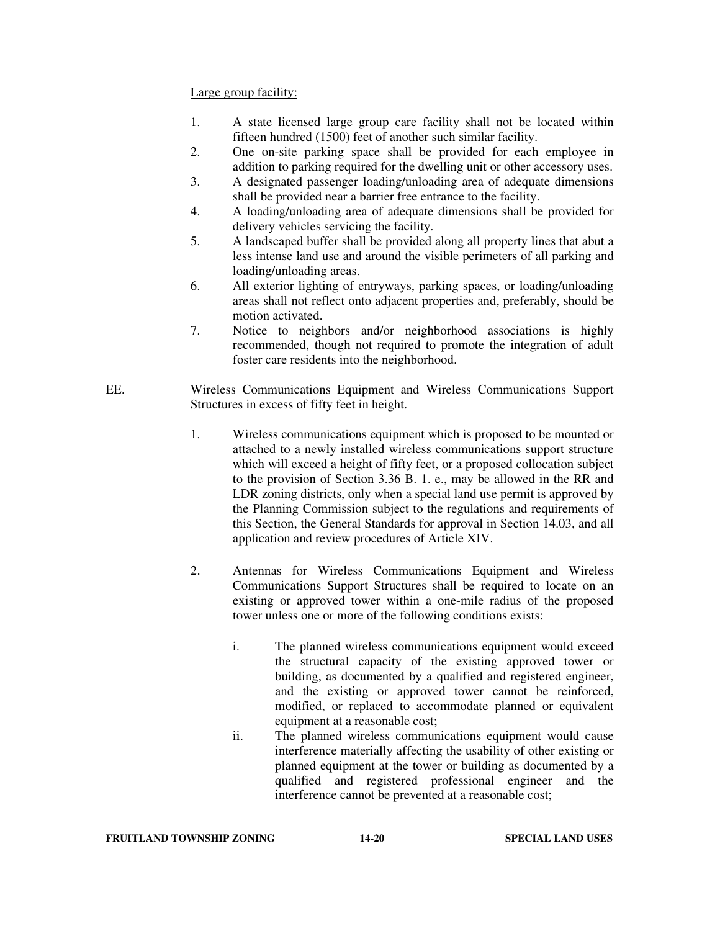## Large group facility:

- 1. A state licensed large group care facility shall not be located within fifteen hundred (1500) feet of another such similar facility.
- 2. One on-site parking space shall be provided for each employee in addition to parking required for the dwelling unit or other accessory uses.
- 3. A designated passenger loading/unloading area of adequate dimensions shall be provided near a barrier free entrance to the facility.
- 4. A loading/unloading area of adequate dimensions shall be provided for delivery vehicles servicing the facility.
- 5. A landscaped buffer shall be provided along all property lines that abut a less intense land use and around the visible perimeters of all parking and loading/unloading areas.
- 6. All exterior lighting of entryways, parking spaces, or loading/unloading areas shall not reflect onto adjacent properties and, preferably, should be motion activated.
- 7. Notice to neighbors and/or neighborhood associations is highly recommended, though not required to promote the integration of adult foster care residents into the neighborhood.
- EE. Wireless Communications Equipment and Wireless Communications Support Structures in excess of fifty feet in height.
	- 1. Wireless communications equipment which is proposed to be mounted or attached to a newly installed wireless communications support structure which will exceed a height of fifty feet, or a proposed collocation subject to the provision of Section 3.36 B. 1. e., may be allowed in the RR and LDR zoning districts, only when a special land use permit is approved by the Planning Commission subject to the regulations and requirements of this Section, the General Standards for approval in Section 14.03, and all application and review procedures of Article XIV.
	- 2. Antennas for Wireless Communications Equipment and Wireless Communications Support Structures shall be required to locate on an existing or approved tower within a one-mile radius of the proposed tower unless one or more of the following conditions exists:
		- i. The planned wireless communications equipment would exceed the structural capacity of the existing approved tower or building, as documented by a qualified and registered engineer, and the existing or approved tower cannot be reinforced, modified, or replaced to accommodate planned or equivalent equipment at a reasonable cost;
		- ii. The planned wireless communications equipment would cause interference materially affecting the usability of other existing or planned equipment at the tower or building as documented by a qualified and registered professional engineer and the interference cannot be prevented at a reasonable cost;

#### **FRUITLAND TOWNSHIP ZONING 14-20 SPECIAL LAND USES**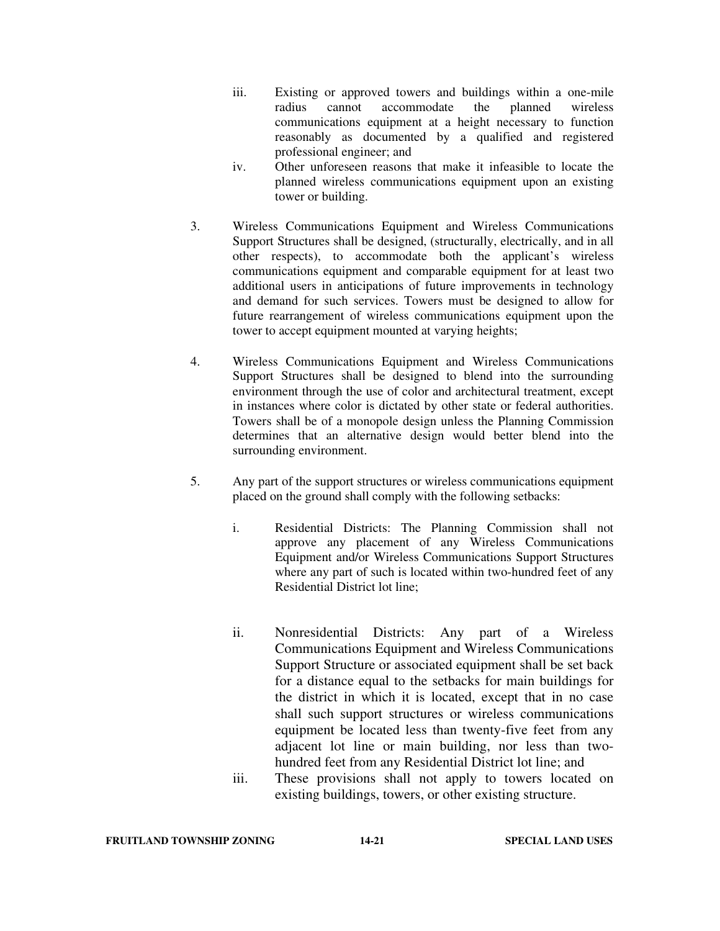- iii. Existing or approved towers and buildings within a one-mile radius cannot accommodate the planned wireless communications equipment at a height necessary to function reasonably as documented by a qualified and registered professional engineer; and
- iv. Other unforeseen reasons that make it infeasible to locate the planned wireless communications equipment upon an existing tower or building.
- 3. Wireless Communications Equipment and Wireless Communications Support Structures shall be designed, (structurally, electrically, and in all other respects), to accommodate both the applicant's wireless communications equipment and comparable equipment for at least two additional users in anticipations of future improvements in technology and demand for such services. Towers must be designed to allow for future rearrangement of wireless communications equipment upon the tower to accept equipment mounted at varying heights;
- 4. Wireless Communications Equipment and Wireless Communications Support Structures shall be designed to blend into the surrounding environment through the use of color and architectural treatment, except in instances where color is dictated by other state or federal authorities. Towers shall be of a monopole design unless the Planning Commission determines that an alternative design would better blend into the surrounding environment.
- 5. Any part of the support structures or wireless communications equipment placed on the ground shall comply with the following setbacks:
	- i. Residential Districts: The Planning Commission shall not approve any placement of any Wireless Communications Equipment and/or Wireless Communications Support Structures where any part of such is located within two-hundred feet of any Residential District lot line;
	- ii. Nonresidential Districts: Any part of a Wireless Communications Equipment and Wireless Communications Support Structure or associated equipment shall be set back for a distance equal to the setbacks for main buildings for the district in which it is located, except that in no case shall such support structures or wireless communications equipment be located less than twenty-five feet from any adjacent lot line or main building, nor less than two hundred feet from any Residential District lot line; and
	- iii. These provisions shall not apply to towers located on existing buildings, towers, or other existing structure.

#### **FRUITLAND TOWNSHIP ZONING 14-21 SPECIAL LAND USES**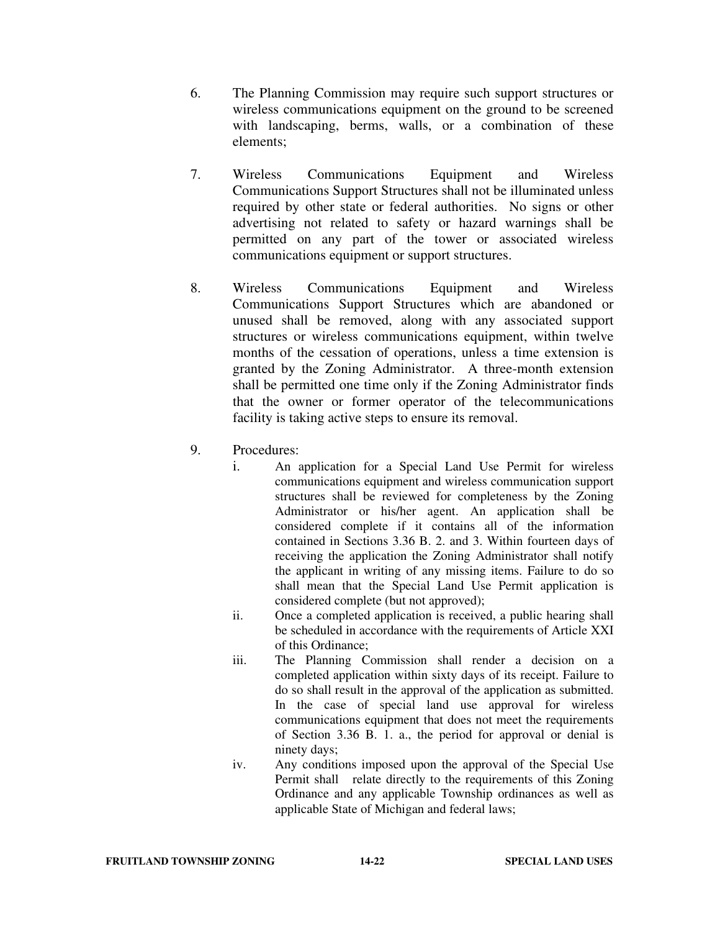- 6. The Planning Commission may require such support structures or wireless communications equipment on the ground to be screened with landscaping, berms, walls, or a combination of these elements;
- 7. Wireless Communications Equipment and Wireless Communications Support Structures shall not be illuminated unless required by other state or federal authorities. No signs or other advertising not related to safety or hazard warnings shall be permitted on any part of the tower or associated wireless communications equipment or support structures.
- 8. Wireless Communications Equipment and Wireless Communications Support Structures which are abandoned or unused shall be removed, along with any associated support structures or wireless communications equipment, within twelve months of the cessation of operations, unless a time extension is granted by the Zoning Administrator. A three-month extension shall be permitted one time only if the Zoning Administrator finds that the owner or former operator of the telecommunications facility is taking active steps to ensure its removal.
- 9. Procedures:
	- i.An application for a Special Land Use Permit for wireless communications equipment and wireless communication support structures shall be reviewed for completeness by the Zoning Administrator or his/her agent. An application shall be considered complete if it contains all of the information contained in Sections 3.36 B. 2. and 3. Within fourteen days of receiving the application the Zoning Administrator shall notify the applicant in writing of any missing items. Failure to do so shall mean that the Special Land Use Permit application is considered complete (but not approved);
	- ii. Once a completed application is received, a public hearing shall be scheduled in accordance with the requirements of Article XXI of this Ordinance;
	- iii. The Planning Commission shall render a decision on a completed application within sixty days of its receipt. Failure to do so shall result in the approval of the application as submitted. In the case of special land use approval for wireless communications equipment that does not meet the requirements of Section 3.36 B. 1. a., the period for approval or denial is ninety days;
	- iv. Any conditions imposed upon the approval of the Special Use Permit shall relate directly to the requirements of this Zoning Ordinance and any applicable Township ordinances as well as applicable State of Michigan and federal laws;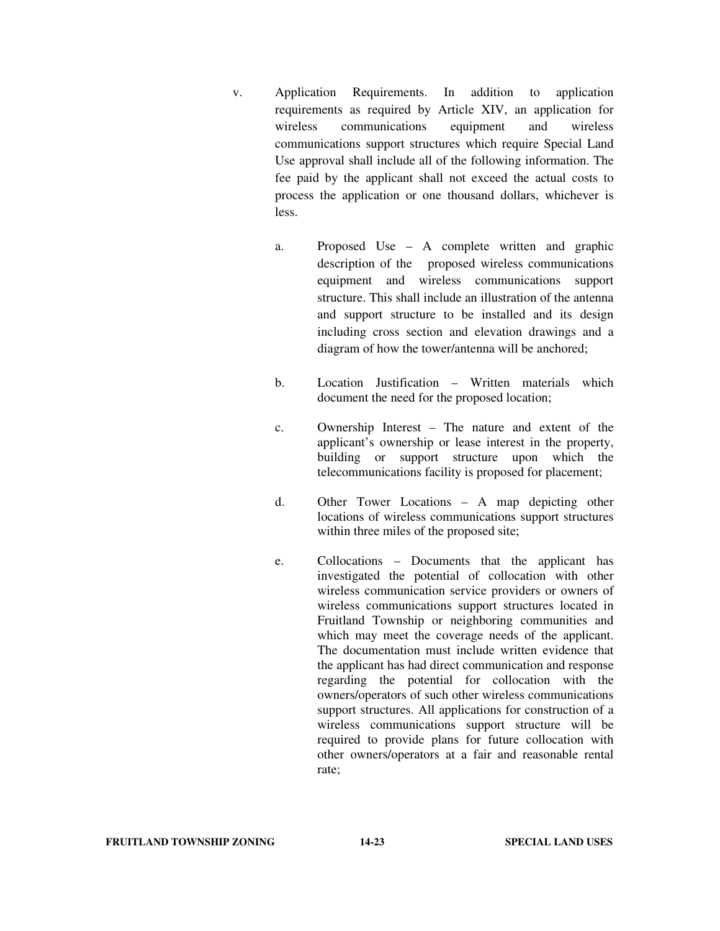- v. Application Requirements. In addition to application requirements as required by Article XIV, an application for wireless communications equipment and wireless communications support structures which require Special Land Use approval shall include all of the following information. The fee paid by the applicant shall not exceed the actual costs to process the application or one thousand dollars, whichever is less.
	- a. Proposed Use A complete written and graphic description of the proposed wireless communications equipment and wireless communications support structure. This shall include an illustration of the antenna and support structure to be installed and its design including cross section and elevation drawings and a diagram of how the tower/antenna will be anchored;
	- b. Location Justification Written materials which document the need for the proposed location;
	- c. Ownership Interest The nature and extent of the applicant's ownership or lease interest in the property, building or support structure upon which the telecommunications facility is proposed for placement;
	- d. Other Tower Locations A map depicting other locations of wireless communications support structures within three miles of the proposed site;
	- e. Collocations Documents that the applicant has investigated the potential of collocation with other wireless communication service providers or owners of wireless communications support structures located in Fruitland Township or neighboring communities and which may meet the coverage needs of the applicant. The documentation must include written evidence that the applicant has had direct communication and response regarding the potential for collocation with the owners/operators of such other wireless communications support structures. All applications for construction of a wireless communications support structure will be required to provide plans for future collocation with other owners/operators at a fair and reasonable rental rate;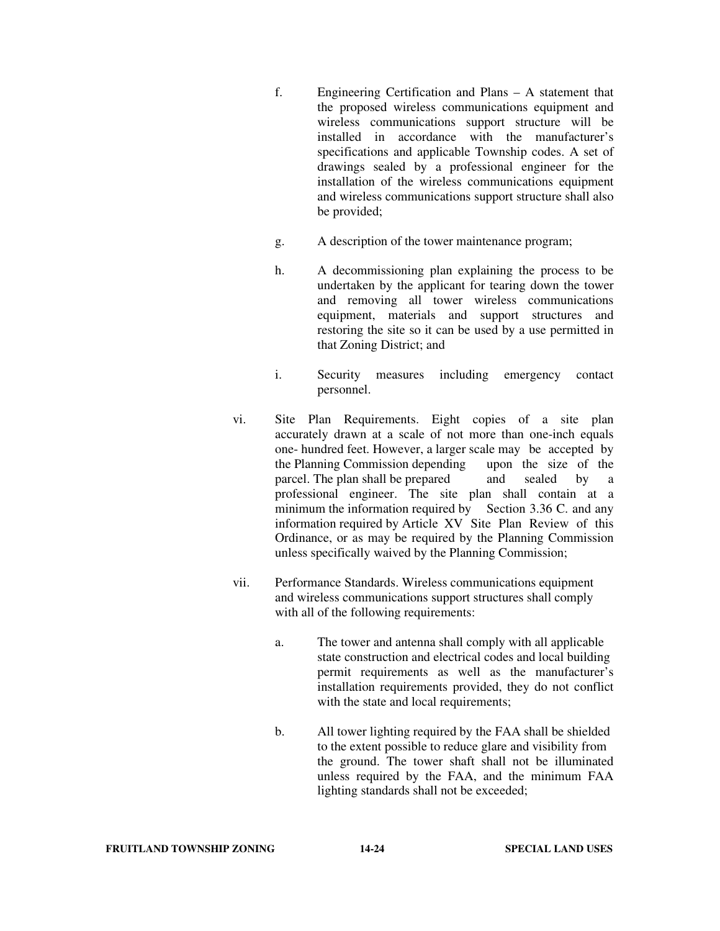- f. Engineering Certification and Plans A statement that the proposed wireless communications equipment and wireless communications support structure will be installed in accordance with the manufacturer's specifications and applicable Township codes. A set of drawings sealed by a professional engineer for the installation of the wireless communications equipment and wireless communications support structure shall also be provided;
- g. A description of the tower maintenance program;
- h. A decommissioning plan explaining the process to be undertaken by the applicant for tearing down the tower and removing all tower wireless communications equipment, materials and support structures and restoring the site so it can be used by a use permitted in that Zoning District; and
- i. Security measures including emergency contact personnel.
- vi. Site Plan Requirements. Eight copies of a site plan accurately drawn at a scale of not more than one-inch equals one- hundred feet. However, a larger scale may be accepted by the Planning Commission depending upon the size of the parcel. The plan shall be prepared and sealed by a professional engineer. The site plan shall contain at a minimum the information required by Section 3.36 C. and any information required by Article XV Site Plan Review of this Ordinance, or as may be required by the Planning Commission unless specifically waived by the Planning Commission;
- vii. Performance Standards. Wireless communications equipment and wireless communications support structures shall comply with all of the following requirements:
	- a. The tower and antenna shall comply with all applicable state construction and electrical codes and local building permit requirements as well as the manufacturer's installation requirements provided, they do not conflict with the state and local requirements;
	- b. All tower lighting required by the FAA shall be shielded to the extent possible to reduce glare and visibility from the ground. The tower shaft shall not be illuminated unless required by the FAA, and the minimum FAA lighting standards shall not be exceeded;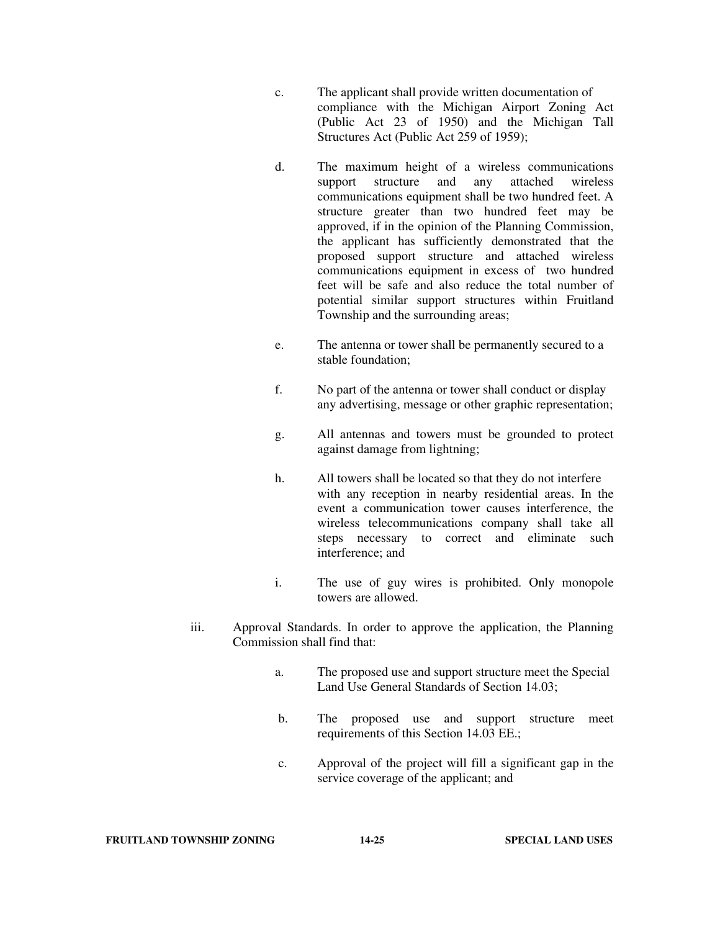- c. The applicant shall provide written documentation of compliance with the Michigan Airport Zoning Act (Public Act 23 of 1950) and the Michigan Tall Structures Act (Public Act 259 of 1959);
- d. The maximum height of a wireless communications support structure and any attached wireless communications equipment shall be two hundred feet. A structure greater than two hundred feet may be approved, if in the opinion of the Planning Commission, the applicant has sufficiently demonstrated that the proposed support structure and attached wireless communications equipment in excess of two hundred feet will be safe and also reduce the total number of potential similar support structures within Fruitland Township and the surrounding areas;
- e. The antenna or tower shall be permanently secured to a stable foundation;
- f. No part of the antenna or tower shall conduct or display any advertising, message or other graphic representation;
- g. All antennas and towers must be grounded to protect against damage from lightning;
- h. All towers shall be located so that they do not interfere with any reception in nearby residential areas. In the event a communication tower causes interference, the wireless telecommunications company shall take all steps necessary to correct and eliminate such interference; and
- i. The use of guy wires is prohibited. Only monopole towers are allowed.
- iii. Approval Standards. In order to approve the application, the Planning Commission shall find that:
	- a. The proposed use and support structure meet the Special Land Use General Standards of Section 14.03;
	- b. The proposed use and support structure meet requirements of this Section 14.03 EE.;
	- c. Approval of the project will fill a significant gap in the service coverage of the applicant; and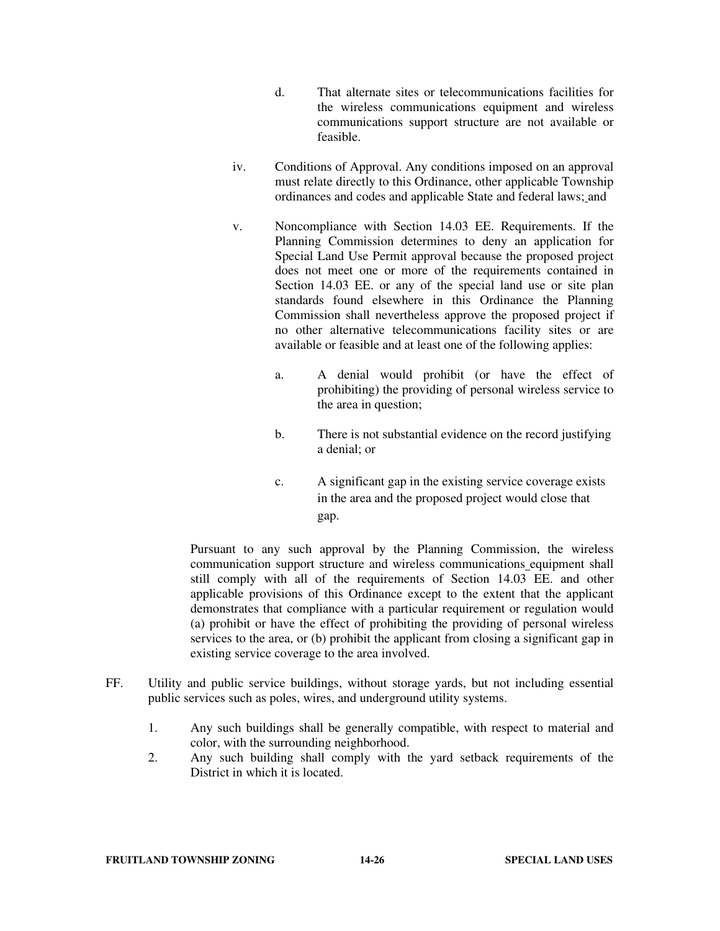- d.That alternate sites or telecommunications facilities for the wireless communications equipment and wireless communications support structure are not available or feasible.
- iv. Conditions of Approval. Any conditions imposed on an approval must relate directly to this Ordinance, other applicable Township ordinances and codes and applicable State and federal laws; and
- v. Noncompliance with Section 14.03 EE. Requirements. If the Planning Commission determines to deny an application for Special Land Use Permit approval because the proposed project does not meet one or more of the requirements contained in Section 14.03 EE. or any of the special land use or site plan standards found elsewhere in this Ordinance the Planning Commission shall nevertheless approve the proposed project if no other alternative telecommunications facility sites or are available or feasible and at least one of the following applies:
	- a. A denial would prohibit (or have the effect of prohibiting) the providing of personal wireless service to the area in question;
	- b. There is not substantial evidence on the record justifying a denial; or
	- c. A significant gap in the existing service coverage exists in the area and the proposed project would close that gap.

Pursuant to any such approval by the Planning Commission, the wireless communication support structure and wireless communications equipment shall still comply with all of the requirements of Section 14.03 EE. and other applicable provisions of this Ordinance except to the extent that the applicant demonstrates that compliance with a particular requirement or regulation would (a) prohibit or have the effect of prohibiting the providing of personal wireless services to the area, or (b) prohibit the applicant from closing a significant gap in existing service coverage to the area involved.

- FF. Utility and public service buildings, without storage yards, but not including essential public services such as poles, wires, and underground utility systems.
	- 1. Any such buildings shall be generally compatible, with respect to material and color, with the surrounding neighborhood.
	- 2. Any such building shall comply with the yard setback requirements of the District in which it is located.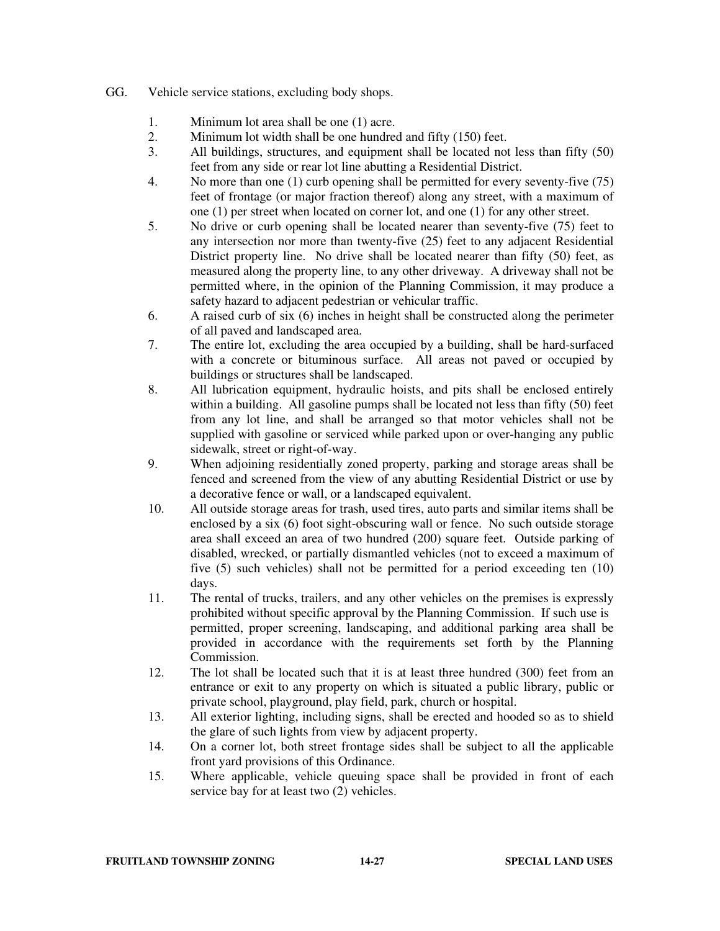- GG. Vehicle service stations, excluding body shops.
	- 1. Minimum lot area shall be one (1) acre.
	- 2. Minimum lot width shall be one hundred and fifty (150) feet.
	- 3. All buildings, structures, and equipment shall be located not less than fifty (50) feet from any side or rear lot line abutting a Residential District.
	- 4. No more than one (1) curb opening shall be permitted for every seventy-five (75) feet of frontage (or major fraction thereof) along any street, with a maximum of one (1) per street when located on corner lot, and one (1) for any other street.
	- 5. No drive or curb opening shall be located nearer than seventy-five (75) feet to any intersection nor more than twenty-five (25) feet to any adjacent Residential District property line. No drive shall be located nearer than fifty (50) feet, as measured along the property line, to any other driveway. A driveway shall not be permitted where, in the opinion of the Planning Commission, it may produce a safety hazard to adjacent pedestrian or vehicular traffic.
	- 6. A raised curb of six (6) inches in height shall be constructed along the perimeter of all paved and landscaped area.
	- 7. The entire lot, excluding the area occupied by a building, shall be hard-surfaced with a concrete or bituminous surface. All areas not paved or occupied by buildings or structures shall be landscaped.
	- 8. All lubrication equipment, hydraulic hoists, and pits shall be enclosed entirely within a building. All gasoline pumps shall be located not less than fifty (50) feet from any lot line, and shall be arranged so that motor vehicles shall not be supplied with gasoline or serviced while parked upon or over-hanging any public sidewalk, street or right-of-way.
	- 9. When adjoining residentially zoned property, parking and storage areas shall be fenced and screened from the view of any abutting Residential District or use by a decorative fence or wall, or a landscaped equivalent.
	- 10. All outside storage areas for trash, used tires, auto parts and similar items shall be enclosed by a six (6) foot sight-obscuring wall or fence. No such outside storage area shall exceed an area of two hundred (200) square feet. Outside parking of disabled, wrecked, or partially dismantled vehicles (not to exceed a maximum of five (5) such vehicles) shall not be permitted for a period exceeding ten (10) days.
	- 11. The rental of trucks, trailers, and any other vehicles on the premises is expressly prohibited without specific approval by the Planning Commission. If such use is permitted, proper screening, landscaping, and additional parking area shall be provided in accordance with the requirements set forth by the Planning Commission.
	- 12. The lot shall be located such that it is at least three hundred (300) feet from an entrance or exit to any property on which is situated a public library, public or private school, playground, play field, park, church or hospital.
	- 13. All exterior lighting, including signs, shall be erected and hooded so as to shield the glare of such lights from view by adjacent property.
	- 14. On a corner lot, both street frontage sides shall be subject to all the applicable front yard provisions of this Ordinance.
	- 15. Where applicable, vehicle queuing space shall be provided in front of each service bay for at least two (2) vehicles.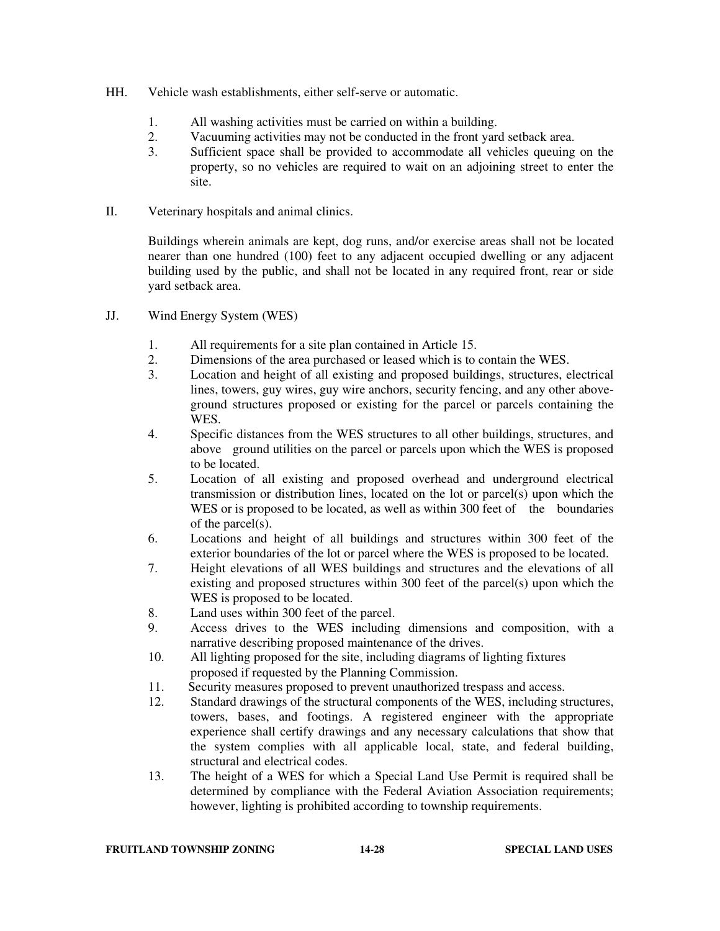- HH. Vehicle wash establishments, either self-serve or automatic.
	- 1. All washing activities must be carried on within a building.
	- 2. Vacuuming activities may not be conducted in the front yard setback area.
	- 3. Sufficient space shall be provided to accommodate all vehicles queuing on the property, so no vehicles are required to wait on an adjoining street to enter the site.
- II. Veterinary hospitals and animal clinics.

Buildings wherein animals are kept, dog runs, and/or exercise areas shall not be located nearer than one hundred (100) feet to any adjacent occupied dwelling or any adjacent building used by the public, and shall not be located in any required front, rear or side yard setback area.

- JJ. Wind Energy System (WES)
	- 1. All requirements for a site plan contained in Article 15.
	- 2. Dimensions of the area purchased or leased which is to contain the WES.
	- 3. Location and height of all existing and proposed buildings, structures, electrical lines, towers, guy wires, guy wire anchors, security fencing, and any other above ground structures proposed or existing for the parcel or parcels containing the WES.
	- 4. Specific distances from the WES structures to all other buildings, structures, and above ground utilities on the parcel or parcels upon which the WES is proposed to be located.
	- 5. Location of all existing and proposed overhead and underground electrical transmission or distribution lines, located on the lot or parcel(s) upon which the WES or is proposed to be located, as well as within 300 feet of the boundaries of the parcel(s).
	- 6. Locations and height of all buildings and structures within 300 feet of the exterior boundaries of the lot or parcel where the WES is proposed to be located.
	- 7. Height elevations of all WES buildings and structures and the elevations of all existing and proposed structures within 300 feet of the parcel(s) upon which the WES is proposed to be located.
	- 8. Land uses within 300 feet of the parcel.
	- 9. Access drives to the WES including dimensions and composition, with a narrative describing proposed maintenance of the drives.<br>10. All lighting proposed for the site, including diagrams of l
	- All lighting proposed for the site, including diagrams of lighting fixtures proposed if requested by the Planning Commission.
	- 11. Security measures proposed to prevent unauthorized trespass and access.
	- 12. Standard drawings of the structural components of the WES, including structures, towers, bases, and footings. A registered engineer with the appropriate experience shall certify drawings and any necessary calculations that show that the system complies with all applicable local, state, and federal building, structural and electrical codes.
	- 13. The height of a WES for which a Special Land Use Permit is required shall be determined by compliance with the Federal Aviation Association requirements; however, lighting is prohibited according to township requirements.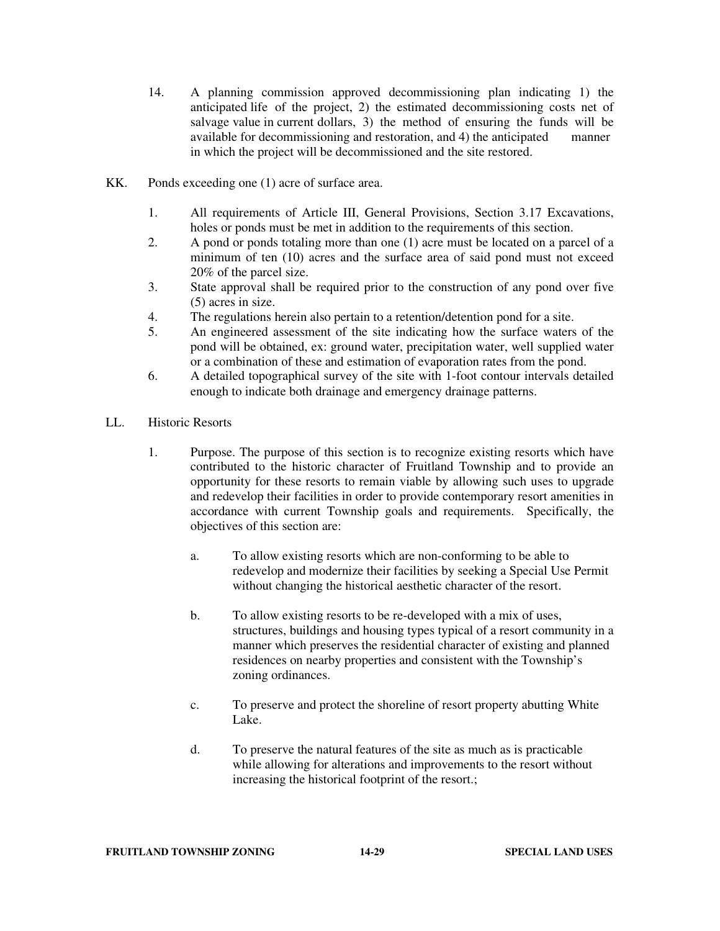- 14. A planning commission approved decommissioning plan indicating 1) the anticipated life of the project, 2) the estimated decommissioning costs net of salvage value in current dollars, 3) the method of ensuring the funds will be available for decommissioning and restoration, and 4) the anticipated manner in which the project will be decommissioned and the site restored.
- KK. Ponds exceeding one (1) acre of surface area.
	- 1. All requirements of Article III, General Provisions, Section 3.17 Excavations, holes or ponds must be met in addition to the requirements of this section.
	- 2. A pond or ponds totaling more than one (1) acre must be located on a parcel of a minimum of ten (10) acres and the surface area of said pond must not exceed 20% of the parcel size.
	- 3. State approval shall be required prior to the construction of any pond over five (5) acres in size.
	- 4. The regulations herein also pertain to a retention/detention pond for a site.
	- 5. An engineered assessment of the site indicating how the surface waters of the pond will be obtained, ex: ground water, precipitation water, well supplied water or a combination of these and estimation of evaporation rates from the pond.
	- 6. A detailed topographical survey of the site with 1-foot contour intervals detailed enough to indicate both drainage and emergency drainage patterns.
- LL. Historic Resorts
	- 1. Purpose. The purpose of this section is to recognize existing resorts which have contributed to the historic character of Fruitland Township and to provide an opportunity for these resorts to remain viable by allowing such uses to upgrade and redevelop their facilities in order to provide contemporary resort amenities in accordance with current Township goals and requirements. Specifically, the objectives of this section are:
		- a. To allow existing resorts which are non-conforming to be able to redevelop and modernize their facilities by seeking a Special Use Permit without changing the historical aesthetic character of the resort.
		- b. To allow existing resorts to be re-developed with a mix of uses, structures, buildings and housing types typical of a resort community in a manner which preserves the residential character of existing and planned residences on nearby properties and consistent with the Township's zoning ordinances.
		- c. To preserve and protect the shoreline of resort property abutting White Lake.
		- d. To preserve the natural features of the site as much as is practicable while allowing for alterations and improvements to the resort without increasing the historical footprint of the resort.;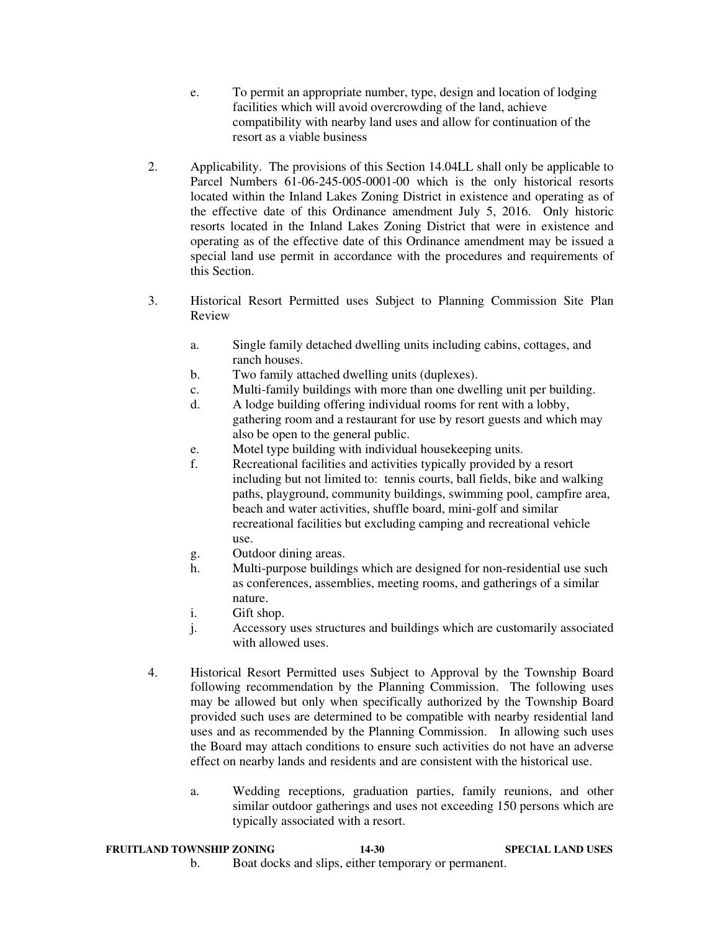- e. To permit an appropriate number, type, design and location of lodging facilities which will avoid overcrowding of the land, achieve compatibility with nearby land uses and allow for continuation of the resort as a viable business
- 2. Applicability. The provisions of this Section 14.04LL shall only be applicable to Parcel Numbers 61-06-245-005-0001-00 which is the only historical resorts located within the Inland Lakes Zoning District in existence and operating as of the effective date of this Ordinance amendment July 5, 2016. Only historic resorts located in the Inland Lakes Zoning District that were in existence and operating as of the effective date of this Ordinance amendment may be issued a special land use permit in accordance with the procedures and requirements of this Section.
- 3. Historical Resort Permitted uses Subject to Planning Commission Site Plan Review
	- a. Single family detached dwelling units including cabins, cottages, and ranch houses.
	- b. Two family attached dwelling units (duplexes).
	- c. Multi-family buildings with more than one dwelling unit per building.
	- d. A lodge building offering individual rooms for rent with a lobby, gathering room and a restaurant for use by resort guests and which may also be open to the general public.
	- e. Motel type building with individual housekeeping units.
	- f. Recreational facilities and activities typically provided by a resort including but not limited to: tennis courts, ball fields, bike and walking paths, playground, community buildings, swimming pool, campfire area, beach and water activities, shuffle board, mini-golf and similar recreational facilities but excluding camping and recreational vehicle use.
	- g. Outdoor dining areas.
	- h. Multi-purpose buildings which are designed for non-residential use such as conferences, assemblies, meeting rooms, and gatherings of a similar nature.
	- i. Gift shop.
	- j. Accessory uses structures and buildings which are customarily associated with allowed uses.
- 4. Historical Resort Permitted uses Subject to Approval by the Township Board following recommendation by the Planning Commission. The following uses may be allowed but only when specifically authorized by the Township Board provided such uses are determined to be compatible with nearby residential land uses and as recommended by the Planning Commission. In allowing such uses the Board may attach conditions to ensure such activities do not have an adverse effect on nearby lands and residents and are consistent with the historical use.
	- a. Wedding receptions, graduation parties, family reunions, and other similar outdoor gatherings and uses not exceeding 150 persons which are typically associated with a resort.

#### **FRUITLAND TOWNSHIP ZONING 14-30 SPECIAL LAND USES** b. Boat docks and slips, either temporary or permanent.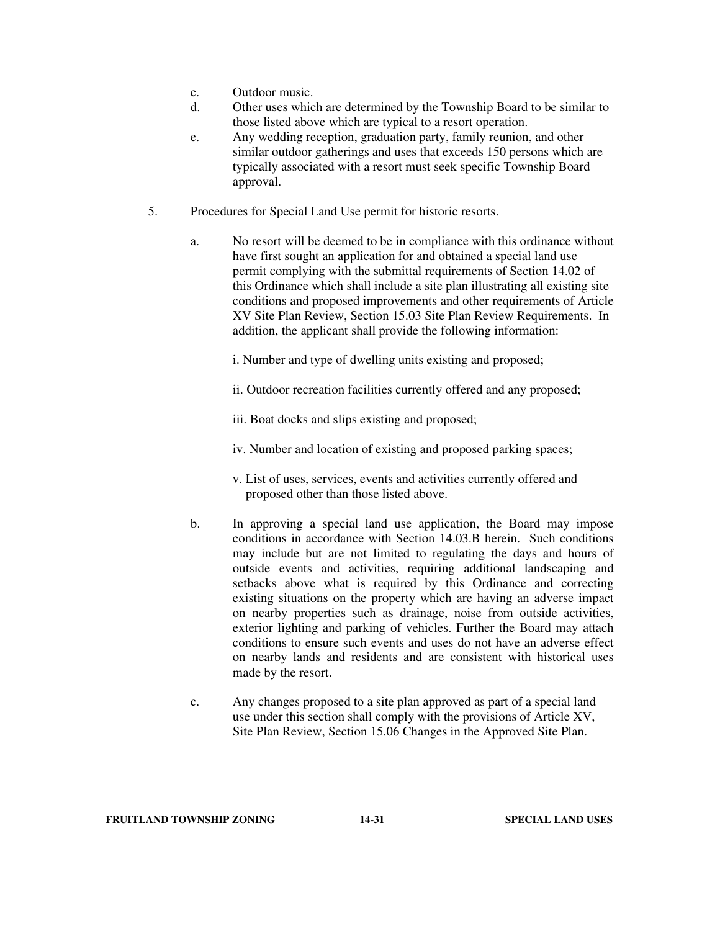- c. Outdoor music.
- d. Other uses which are determined by the Township Board to be similar to those listed above which are typical to a resort operation.
- e. Any wedding reception, graduation party, family reunion, and other similar outdoor gatherings and uses that exceeds 150 persons which are typically associated with a resort must seek specific Township Board approval.
- 5. Procedures for Special Land Use permit for historic resorts.
	- a. No resort will be deemed to be in compliance with this ordinance without have first sought an application for and obtained a special land use permit complying with the submittal requirements of Section 14.02 of this Ordinance which shall include a site plan illustrating all existing site conditions and proposed improvements and other requirements of Article XV Site Plan Review, Section 15.03 Site Plan Review Requirements. In addition, the applicant shall provide the following information:
		- i. Number and type of dwelling units existing and proposed;
		- ii. Outdoor recreation facilities currently offered and any proposed;
		- iii. Boat docks and slips existing and proposed;
		- iv. Number and location of existing and proposed parking spaces;
		- v. List of uses, services, events and activities currently offered and proposed other than those listed above.
	- b. In approving a special land use application, the Board may impose conditions in accordance with Section 14.03.B herein. Such conditions may include but are not limited to regulating the days and hours of outside events and activities, requiring additional landscaping and setbacks above what is required by this Ordinance and correcting existing situations on the property which are having an adverse impact on nearby properties such as drainage, noise from outside activities, exterior lighting and parking of vehicles. Further the Board may attach conditions to ensure such events and uses do not have an adverse effect on nearby lands and residents and are consistent with historical uses made by the resort.
	- c. Any changes proposed to a site plan approved as part of a special land use under this section shall comply with the provisions of Article XV, Site Plan Review, Section 15.06 Changes in the Approved Site Plan.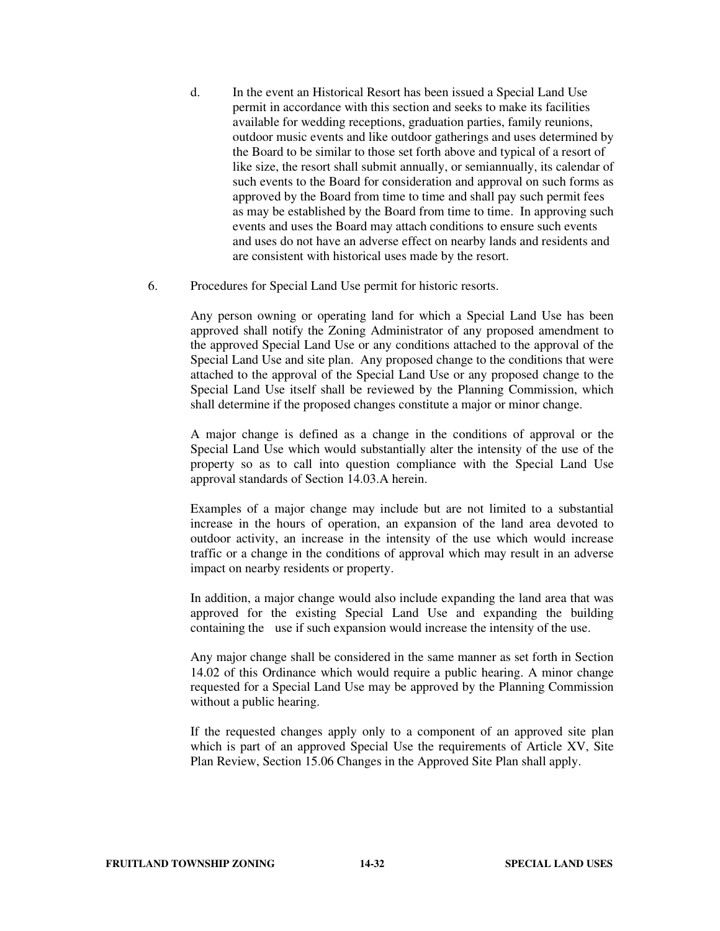- d. In the event an Historical Resort has been issued a Special Land Use permit in accordance with this section and seeks to make its facilities available for wedding receptions, graduation parties, family reunions, outdoor music events and like outdoor gatherings and uses determined by the Board to be similar to those set forth above and typical of a resort of like size, the resort shall submit annually, or semiannually, its calendar of such events to the Board for consideration and approval on such forms as approved by the Board from time to time and shall pay such permit fees as may be established by the Board from time to time. In approving such events and uses the Board may attach conditions to ensure such events and uses do not have an adverse effect on nearby lands and residents and are consistent with historical uses made by the resort.
- 6. Procedures for Special Land Use permit for historic resorts.

 Any person owning or operating land for which a Special Land Use has been approved shall notify the Zoning Administrator of any proposed amendment to the approved Special Land Use or any conditions attached to the approval of the Special Land Use and site plan. Any proposed change to the conditions that were attached to the approval of the Special Land Use or any proposed change to the Special Land Use itself shall be reviewed by the Planning Commission, which shall determine if the proposed changes constitute a major or minor change.

 A major change is defined as a change in the conditions of approval or the Special Land Use which would substantially alter the intensity of the use of the property so as to call into question compliance with the Special Land Use approval standards of Section 14.03.A herein.

 Examples of a major change may include but are not limited to a substantial increase in the hours of operation, an expansion of the land area devoted to outdoor activity, an increase in the intensity of the use which would increase traffic or a change in the conditions of approval which may result in an adverse impact on nearby residents or property.

 In addition, a major change would also include expanding the land area that was approved for the existing Special Land Use and expanding the building containing the use if such expansion would increase the intensity of the use.

 Any major change shall be considered in the same manner as set forth in Section 14.02 of this Ordinance which would require a public hearing. A minor change requested for a Special Land Use may be approved by the Planning Commission without a public hearing.

 If the requested changes apply only to a component of an approved site plan which is part of an approved Special Use the requirements of Article XV, Site Plan Review, Section 15.06 Changes in the Approved Site Plan shall apply.